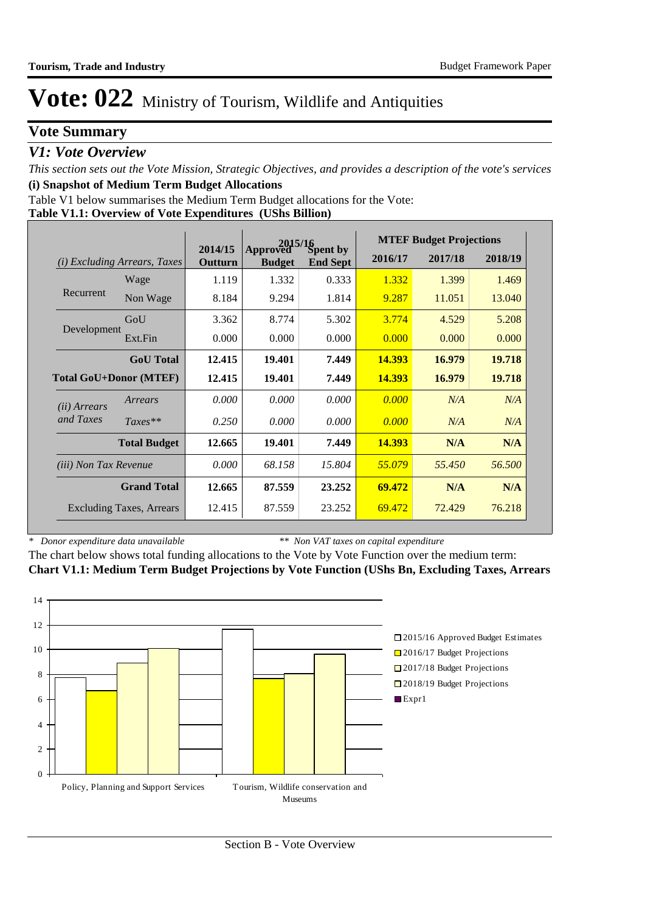### **Vote Summary**

### *V1: Vote Overview*

*This section sets out the Vote Mission, Strategic Objectives, and provides a description of the vote's services* **(i) Snapshot of Medium Term Budget Allocations** 

**Table V1.1: Overview of Vote Expenditures (UShs Billion)** Table V1 below summarises the Medium Term Budget allocations for the Vote:

|                                        |                                 | Approved Sn<br>2014/15<br>Spent by |               | <b>MTEF Budget Projections</b> |         |         |         |
|----------------------------------------|---------------------------------|------------------------------------|---------------|--------------------------------|---------|---------|---------|
| <b>Excluding Arrears, Taxes</b><br>(i) |                                 | Outturn                            | <b>Budget</b> | <b>End Sept</b>                | 2016/17 | 2017/18 | 2018/19 |
|                                        | Wage                            | 1.119                              | 1.332         | 0.333                          | 1.332   | 1.399   | 1.469   |
| Recurrent                              | Non Wage                        | 8.184                              | 9.294         | 1.814                          | 9.287   | 11.051  | 13.040  |
|                                        | GoU                             | 3.362                              | 8.774         | 5.302                          | 3.774   | 4.529   | 5.208   |
| Development                            | Ext.Fin                         | 0.000                              | 0.000         | 0.000                          | 0.000   | 0.000   | 0.000   |
|                                        | <b>GoU</b> Total                | 12.415                             | 19.401        | 7.449                          | 14.393  | 16.979  | 19.718  |
| <b>Total GoU+Donor (MTEF)</b>          |                                 | 12.415                             | 19.401        | 7.449                          | 14.393  | 16.979  | 19.718  |
| ( <i>ii</i> ) Arrears                  | Arrears                         | 0.000                              | 0.000         | 0.000                          | 0.000   | N/A     | N/A     |
| and Taxes                              | $Taxes**$                       | 0.250                              | 0.000         | 0.000                          | 0.000   | N/A     | N/A     |
|                                        | <b>Total Budget</b>             | 12.665                             | 19.401        | 7.449                          | 14.393  | N/A     | N/A     |
| <i>(iii)</i> Non Tax Revenue           |                                 | 0.000                              | 68.158        | 15.804                         | 55.079  | 55.450  | 56.500  |
|                                        | <b>Grand Total</b>              | 12.665                             | 87.559        | 23.252                         | 69.472  | N/A     | N/A     |
|                                        | <b>Excluding Taxes, Arrears</b> | 12.415                             | 87.559        | 23.252                         | 69.472  | 72.429  | 76.218  |

*\* Donor expenditure data unavailable*

*\*\* Non VAT taxes on capital expenditure*

The chart below shows total funding allocations to the Vote by Vote Function over the medium term: **Chart V1.1: Medium Term Budget Projections by Vote Function (UShs Bn, Excluding Taxes, Arrears**

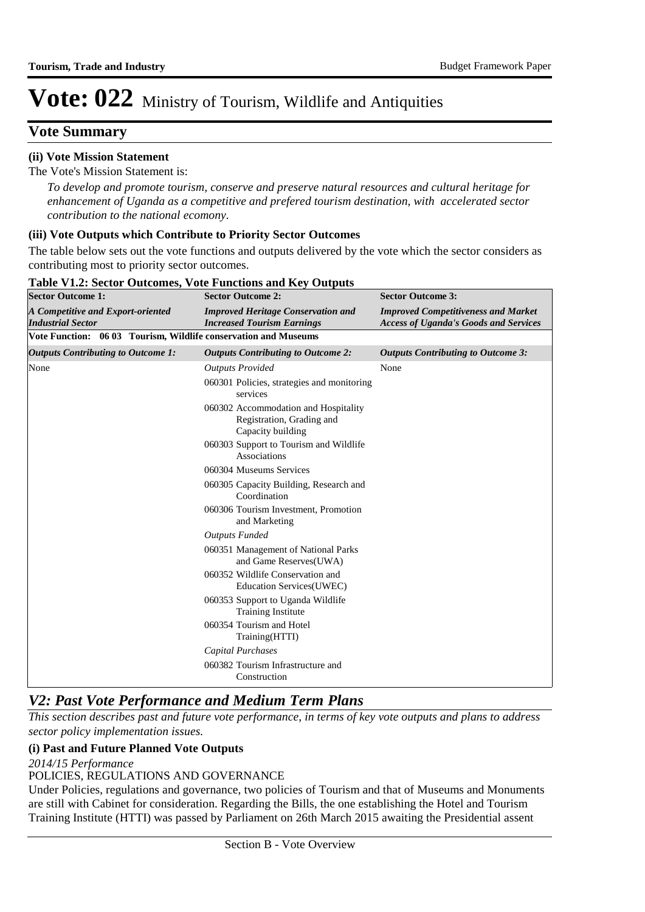### **Vote Summary**

#### **(ii) Vote Mission Statement**

The Vote's Mission Statement is:

*To develop and promote tourism, conserve and preserve natural resources and cultural heritage for enhancement of Uganda as a competitive and prefered tourism destination, with accelerated sector contribution to the national ecomony.*

#### **(iii) Vote Outputs which Contribute to Priority Sector Outcomes**

The table below sets out the vote functions and outputs delivered by the vote which the sector considers as contributing most to priority sector outcomes.

| <b>Sector Outcome 1:</b>                                        | <b>Sector Outcome 2:</b>                                                               | <b>Sector Outcome 3:</b>                                                                   |  |  |
|-----------------------------------------------------------------|----------------------------------------------------------------------------------------|--------------------------------------------------------------------------------------------|--|--|
| A Competitive and Export-oriented<br><b>Industrial Sector</b>   | <b>Improved Heritage Conservation and</b><br><b>Increased Tourism Earnings</b>         | <b>Improved Competitiveness and Market</b><br><b>Access of Uganda's Goods and Services</b> |  |  |
| Vote Function: 06 03 Tourism, Wildlife conservation and Museums |                                                                                        |                                                                                            |  |  |
| <b>Outputs Contributing to Outcome 1:</b>                       | <b>Outputs Contributing to Outcome 2:</b>                                              | <b>Outputs Contributing to Outcome 3:</b>                                                  |  |  |
| None                                                            | <b>Outputs Provided</b>                                                                | None                                                                                       |  |  |
|                                                                 | 060301 Policies, strategies and monitoring<br>services                                 |                                                                                            |  |  |
|                                                                 | 060302 Accommodation and Hospitality<br>Registration, Grading and<br>Capacity building |                                                                                            |  |  |
|                                                                 | 060303 Support to Tourism and Wildlife<br>Associations                                 |                                                                                            |  |  |
|                                                                 | 060304 Museums Services                                                                |                                                                                            |  |  |
|                                                                 | 060305 Capacity Building, Research and<br>Coordination                                 |                                                                                            |  |  |
|                                                                 | 060306 Tourism Investment, Promotion<br>and Marketing                                  |                                                                                            |  |  |
|                                                                 | <b>Outputs Funded</b>                                                                  |                                                                                            |  |  |
|                                                                 | 060351 Management of National Parks<br>and Game Reserves(UWA)                          |                                                                                            |  |  |
|                                                                 | 060352 Wildlife Conservation and<br>Education Services(UWEC)                           |                                                                                            |  |  |
|                                                                 | 060353 Support to Uganda Wildlife<br><b>Training Institute</b>                         |                                                                                            |  |  |
|                                                                 | 060354 Tourism and Hotel<br>Training(HTTI)                                             |                                                                                            |  |  |
|                                                                 | <b>Capital Purchases</b>                                                               |                                                                                            |  |  |
|                                                                 | 060382 Tourism Infrastructure and<br>Construction                                      |                                                                                            |  |  |

#### **Table V1.2: Sector Outcomes, Vote Functions and Key Outputs**

### *V2: Past Vote Performance and Medium Term Plans*

*This section describes past and future vote performance, in terms of key vote outputs and plans to address sector policy implementation issues.* 

#### **(i) Past and Future Planned Vote Outputs**

*2014/15 Performance*

POLICIES, REGULATIONS AND GOVERNANCE

Under Policies, regulations and governance, two policies of Tourism and that of Museums and Monuments are still with Cabinet for consideration. Regarding the Bills, the one establishing the Hotel and Tourism Training Institute (HTTI) was passed by Parliament on 26th March 2015 awaiting the Presidential assent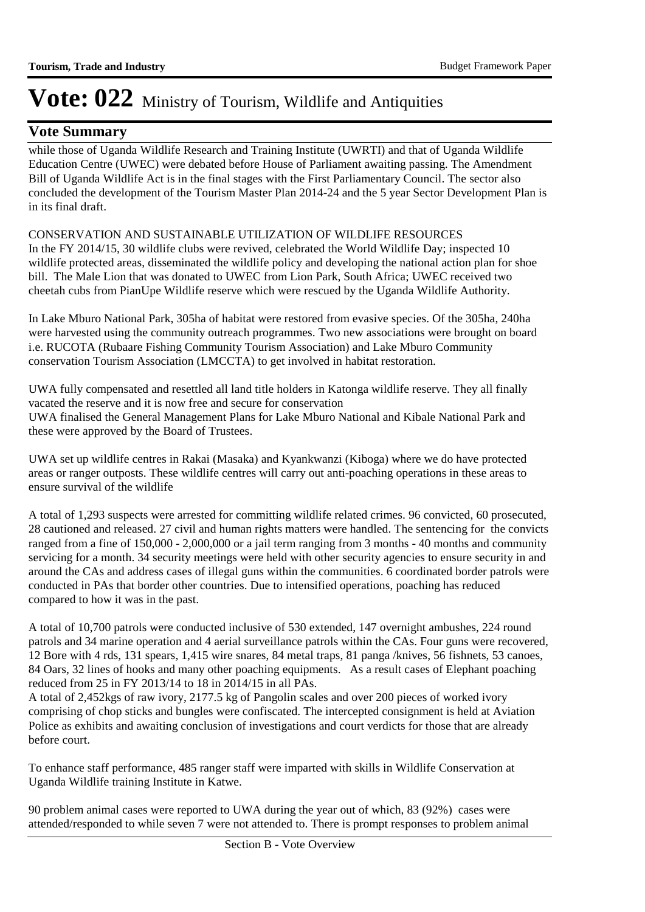### **Vote Summary**

while those of Uganda Wildlife Research and Training Institute (UWRTI) and that of Uganda Wildlife Education Centre (UWEC) were debated before House of Parliament awaiting passing. The Amendment Bill of Uganda Wildlife Act is in the final stages with the First Parliamentary Council. The sector also concluded the development of the Tourism Master Plan 2014-24 and the 5 year Sector Development Plan is in its final draft.

CONSERVATION AND SUSTAINABLE UTILIZATION OF WILDLIFE RESOURCES

In the FY 2014/15, 30 wildlife clubs were revived, celebrated the World Wildlife Day; inspected 10 wildlife protected areas, disseminated the wildlife policy and developing the national action plan for shoe bill. The Male Lion that was donated to UWEC from Lion Park, South Africa; UWEC received two cheetah cubs from PianUpe Wildlife reserve which were rescued by the Uganda Wildlife Authority.

In Lake Mburo National Park, 305ha of habitat were restored from evasive species. Of the 305ha, 240ha were harvested using the community outreach programmes. Two new associations were brought on board i.e. RUCOTA (Rubaare Fishing Community Tourism Association) and Lake Mburo Community conservation Tourism Association (LMCCTA) to get involved in habitat restoration.

UWA fully compensated and resettled all land title holders in Katonga wildlife reserve. They all finally vacated the reserve and it is now free and secure for conservation UWA finalised the General Management Plans for Lake Mburo National and Kibale National Park and these were approved by the Board of Trustees.

UWA set up wildlife centres in Rakai (Masaka) and Kyankwanzi (Kiboga) where we do have protected areas or ranger outposts. These wildlife centres will carry out anti-poaching operations in these areas to ensure survival of the wildlife

A total of 1,293 suspects were arrested for committing wildlife related crimes. 96 convicted, 60 prosecuted, 28 cautioned and released. 27 civil and human rights matters were handled. The sentencing for the convicts ranged from a fine of 150,000 - 2,000,000 or a jail term ranging from 3 months - 40 months and community servicing for a month. 34 security meetings were held with other security agencies to ensure security in and around the CAs and address cases of illegal guns within the communities. 6 coordinated border patrols were conducted in PAs that border other countries. Due to intensified operations, poaching has reduced compared to how it was in the past.

A total of 10,700 patrols were conducted inclusive of 530 extended, 147 overnight ambushes, 224 round patrols and 34 marine operation and 4 aerial surveillance patrols within the CAs. Four guns were recovered, 12 Bore with 4 rds, 131 spears, 1,415 wire snares, 84 metal traps, 81 panga /knives, 56 fishnets, 53 canoes, 84 Oars, 32 lines of hooks and many other poaching equipments. As a result cases of Elephant poaching reduced from 25 in FY 2013/14 to 18 in  $2014/15$  in all PAs.

A total of 2,452kgs of raw ivory, 2177.5 kg of Pangolin scales and over 200 pieces of worked ivory comprising of chop sticks and bungles were confiscated. The intercepted consignment is held at Aviation Police as exhibits and awaiting conclusion of investigations and court verdicts for those that are already before court.

To enhance staff performance, 485 ranger staff were imparted with skills in Wildlife Conservation at Uganda Wildlife training Institute in Katwe.

90 problem animal cases were reported to UWA during the year out of which, 83 (92%) cases were attended/responded to while seven 7 were not attended to. There is prompt responses to problem animal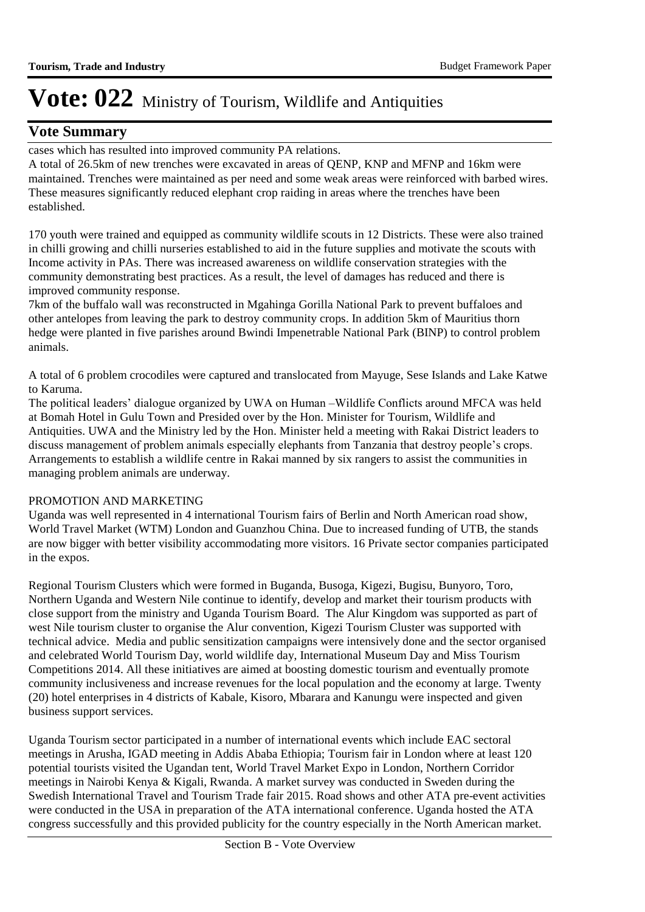### **Vote Summary**

cases which has resulted into improved community PA relations.

A total of 26.5km of new trenches were excavated in areas of QENP, KNP and MFNP and 16km were maintained. Trenches were maintained as per need and some weak areas were reinforced with barbed wires. These measures significantly reduced elephant crop raiding in areas where the trenches have been established.

170 youth were trained and equipped as community wildlife scouts in 12 Districts. These were also trained in chilli growing and chilli nurseries established to aid in the future supplies and motivate the scouts with Income activity in PAs. There was increased awareness on wildlife conservation strategies with the community demonstrating best practices. As a result, the level of damages has reduced and there is improved community response.

7km of the buffalo wall was reconstructed in Mgahinga Gorilla National Park to prevent buffaloes and other antelopes from leaving the park to destroy community crops. In addition 5km of Mauritius thorn hedge were planted in five parishes around Bwindi Impenetrable National Park (BINP) to control problem animals.

A total of 6 problem crocodiles were captured and translocated from Mayuge, Sese Islands and Lake Katwe to Karuma.

The political leaders' dialogue organized by UWA on Human –Wildlife Conflicts around MFCA was held at Bomah Hotel in Gulu Town and Presided over by the Hon. Minister for Tourism, Wildlife and Antiquities. UWA and the Ministry led by the Hon. Minister held a meeting with Rakai District leaders to discuss management of problem animals especially elephants from Tanzania that destroy people's crops. Arrangements to establish a wildlife centre in Rakai manned by six rangers to assist the communities in managing problem animals are underway.

#### PROMOTION AND MARKETING

Uganda was well represented in 4 international Tourism fairs of Berlin and North American road show, World Travel Market (WTM) London and Guanzhou China. Due to increased funding of UTB, the stands are now bigger with better visibility accommodating more visitors. 16 Private sector companies participated in the expos.

Regional Tourism Clusters which were formed in Buganda, Busoga, Kigezi, Bugisu, Bunyoro, Toro, Northern Uganda and Western Nile continue to identify, develop and market their tourism products with close support from the ministry and Uganda Tourism Board. The Alur Kingdom was supported as part of west Nile tourism cluster to organise the Alur convention, Kigezi Tourism Cluster was supported with technical advice. Media and public sensitization campaigns were intensively done and the sector organised and celebrated World Tourism Day, world wildlife day, International Museum Day and Miss Tourism Competitions 2014. All these initiatives are aimed at boosting domestic tourism and eventually promote community inclusiveness and increase revenues for the local population and the economy at large. Twenty (20) hotel enterprises in 4 districts of Kabale, Kisoro, Mbarara and Kanungu were inspected and given business support services.

Uganda Tourism sector participated in a number of international events which include EAC sectoral meetings in Arusha, IGAD meeting in Addis Ababa Ethiopia; Tourism fair in London where at least 120 potential tourists visited the Ugandan tent, World Travel Market Expo in London, Northern Corridor meetings in Nairobi Kenya & Kigali, Rwanda. A market survey was conducted in Sweden during the Swedish International Travel and Tourism Trade fair 2015. Road shows and other ATA pre-event activities were conducted in the USA in preparation of the ATA international conference. Uganda hosted the ATA congress successfully and this provided publicity for the country especially in the North American market.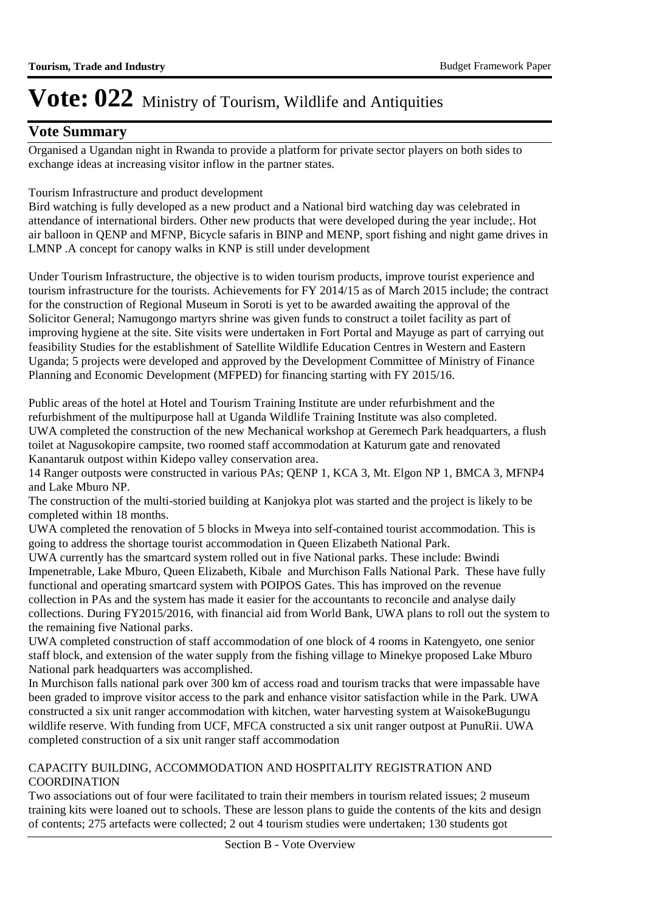### **Vote Summary**

Organised a Ugandan night in Rwanda to provide a platform for private sector players on both sides to exchange ideas at increasing visitor inflow in the partner states.

#### Tourism Infrastructure and product development

Bird watching is fully developed as a new product and a National bird watching day was celebrated in attendance of international birders. Other new products that were developed during the year include;. Hot air balloon in QENP and MFNP, Bicycle safaris in BINP and MENP, sport fishing and night game drives in LMNP .A concept for canopy walks in KNP is still under development

Under Tourism Infrastructure, the objective is to widen tourism products, improve tourist experience and tourism infrastructure for the tourists. Achievements for FY 2014/15 as of March 2015 include; the contract for the construction of Regional Museum in Soroti is yet to be awarded awaiting the approval of the Solicitor General; Namugongo martyrs shrine was given funds to construct a toilet facility as part of improving hygiene at the site. Site visits were undertaken in Fort Portal and Mayuge as part of carrying out feasibility Studies for the establishment of Satellite Wildlife Education Centres in Western and Eastern Uganda; 5 projects were developed and approved by the Development Committee of Ministry of Finance Planning and Economic Development (MFPED) for financing starting with FY 2015/16.

Public areas of the hotel at Hotel and Tourism Training Institute are under refurbishment and the refurbishment of the multipurpose hall at Uganda Wildlife Training Institute was also completed. UWA completed the construction of the new Mechanical workshop at Geremech Park headquarters, a flush toilet at Nagusokopire campsite, two roomed staff accommodation at Katurum gate and renovated Kanantaruk outpost within Kidepo valley conservation area.

14 Ranger outposts were constructed in various PAs; QENP 1, KCA 3, Mt. Elgon NP 1, BMCA 3, MFNP4 and Lake Mburo NP.

The construction of the multi-storied building at Kanjokya plot was started and the project is likely to be completed within 18 months.

UWA completed the renovation of 5 blocks in Mweya into self-contained tourist accommodation. This is going to address the shortage tourist accommodation in Queen Elizabeth National Park.

UWA currently has the smartcard system rolled out in five National parks. These include: Bwindi Impenetrable, Lake Mburo, Queen Elizabeth, Kibale and Murchison Falls National Park. These have fully functional and operating smartcard system with POIPOS Gates. This has improved on the revenue collection in PAs and the system has made it easier for the accountants to reconcile and analyse daily collections. During FY2015/2016, with financial aid from World Bank, UWA plans to roll out the system to the remaining five National parks.

UWA completed construction of staff accommodation of one block of 4 rooms in Katengyeto, one senior staff block, and extension of the water supply from the fishing village to Minekye proposed Lake Mburo National park headquarters was accomplished.

In Murchison falls national park over 300 km of access road and tourism tracks that were impassable have been graded to improve visitor access to the park and enhance visitor satisfaction while in the Park. UWA constructed a six unit ranger accommodation with kitchen, water harvesting system at WaisokeBugungu wildlife reserve. With funding from UCF, MFCA constructed a six unit ranger outpost at PunuRii. UWA completed construction of a six unit ranger staff accommodation

### CAPACITY BUILDING, ACCOMMODATION AND HOSPITALITY REGISTRATION AND COORDINATION

Two associations out of four were facilitated to train their members in tourism related issues; 2 museum training kits were loaned out to schools. These are lesson plans to guide the contents of the kits and design of contents; 275 artefacts were collected; 2 out 4 tourism studies were undertaken; 130 students got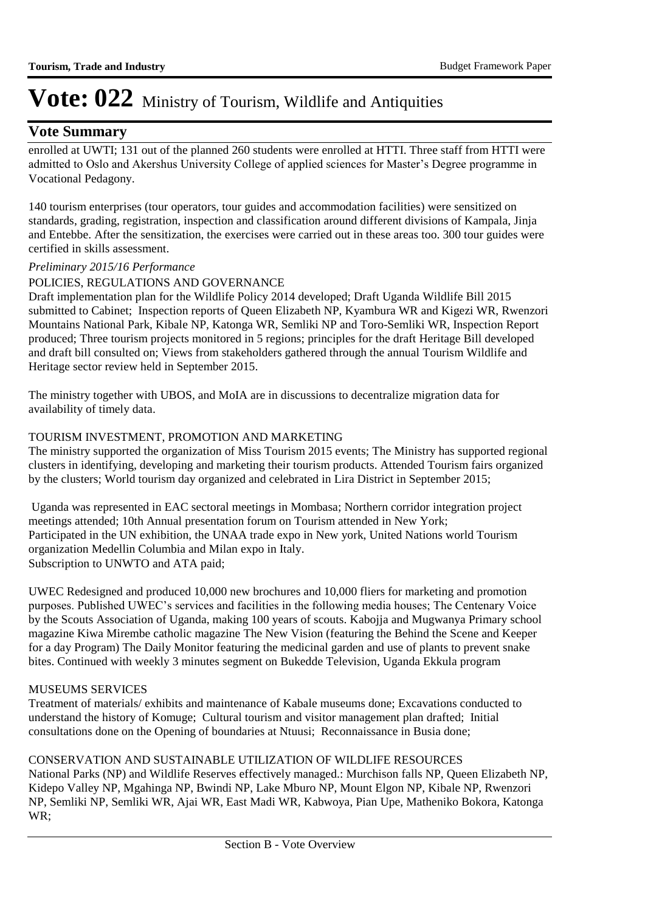### **Vote Summary**

enrolled at UWTI; 131 out of the planned 260 students were enrolled at HTTI. Three staff from HTTI were admitted to Oslo and Akershus University College of applied sciences for Master's Degree programme in Vocational Pedagony.

140 tourism enterprises (tour operators, tour guides and accommodation facilities) were sensitized on standards, grading, registration, inspection and classification around different divisions of Kampala, Jinja and Entebbe. After the sensitization, the exercises were carried out in these areas too. 300 tour guides were certified in skills assessment.

#### *Preliminary 2015/16 Performance*

#### POLICIES, REGULATIONS AND GOVERNANCE

Draft implementation plan for the Wildlife Policy 2014 developed; Draft Uganda Wildlife Bill 2015 submitted to Cabinet; Inspection reports of Queen Elizabeth NP, Kyambura WR and Kigezi WR, Rwenzori Mountains National Park, Kibale NP, Katonga WR, Semliki NP and Toro-Semliki WR, Inspection Report produced; Three tourism projects monitored in 5 regions; principles for the draft Heritage Bill developed and draft bill consulted on; Views from stakeholders gathered through the annual Tourism Wildlife and Heritage sector review held in September 2015.

The ministry together with UBOS, and MoIA are in discussions to decentralize migration data for availability of timely data.

#### TOURISM INVESTMENT, PROMOTION AND MARKETING

The ministry supported the organization of Miss Tourism 2015 events; The Ministry has supported regional clusters in identifying, developing and marketing their tourism products. Attended Tourism fairs organized by the clusters; World tourism day organized and celebrated in Lira District in September 2015;

 Uganda was represented in EAC sectoral meetings in Mombasa; Northern corridor integration project meetings attended; 10th Annual presentation forum on Tourism attended in New York; Participated in the UN exhibition, the UNAA trade expo in New york, United Nations world Tourism organization Medellin Columbia and Milan expo in Italy. Subscription to UNWTO and ATA paid;

UWEC Redesigned and produced 10,000 new brochures and 10,000 fliers for marketing and promotion purposes. Published UWEC's services and facilities in the following media houses; The Centenary Voice by the Scouts Association of Uganda, making 100 years of scouts. Kabojja and Mugwanya Primary school magazine Kiwa Mirembe catholic magazine The New Vision (featuring the Behind the Scene and Keeper for a day Program) The Daily Monitor featuring the medicinal garden and use of plants to prevent snake bites. Continued with weekly 3 minutes segment on Bukedde Television, Uganda Ekkula program

#### MUSEUMS SERVICES

Treatment of materials/ exhibits and maintenance of Kabale museums done; Excavations conducted to understand the history of Komuge; Cultural tourism and visitor management plan drafted; Initial consultations done on the Opening of boundaries at Ntuusi; Reconnaissance in Busia done;

#### CONSERVATION AND SUSTAINABLE UTILIZATION OF WILDLIFE RESOURCES

National Parks (NP) and Wildlife Reserves effectively managed.: Murchison falls NP, Queen Elizabeth NP, Kidepo Valley NP, Mgahinga NP, Bwindi NP, Lake Mburo NP, Mount Elgon NP, Kibale NP, Rwenzori NP, Semliki NP, Semliki WR, Ajai WR, East Madi WR, Kabwoya, Pian Upe, Matheniko Bokora, Katonga WR;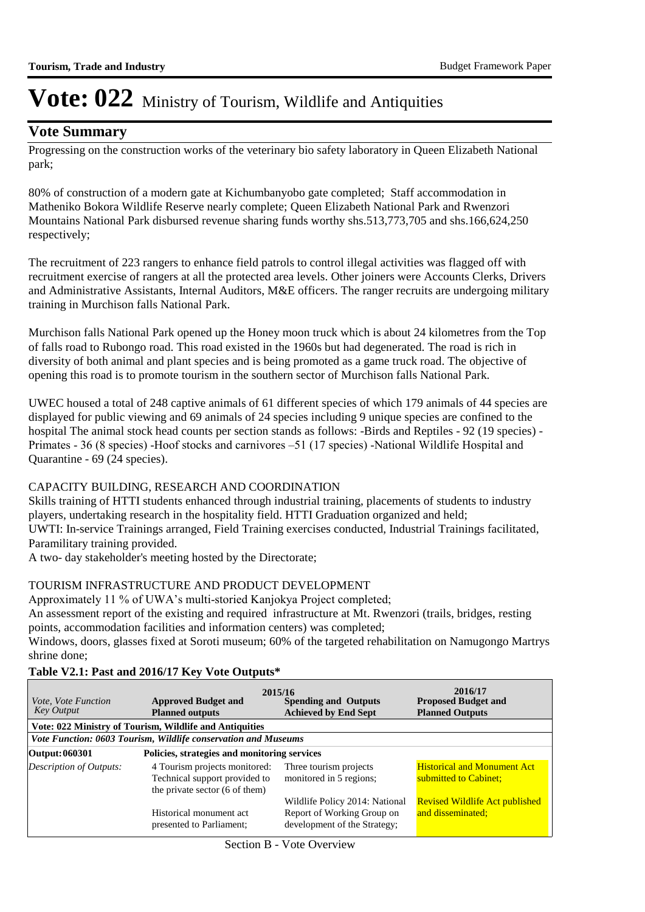### **Vote Summary**

Progressing on the construction works of the veterinary bio safety laboratory in Queen Elizabeth National park;

80% of construction of a modern gate at Kichumbanyobo gate completed; Staff accommodation in Matheniko Bokora Wildlife Reserve nearly complete; Queen Elizabeth National Park and Rwenzori Mountains National Park disbursed revenue sharing funds worthy shs.513,773,705 and shs.166,624,250 respectively;

The recruitment of 223 rangers to enhance field patrols to control illegal activities was flagged off with recruitment exercise of rangers at all the protected area levels. Other joiners were Accounts Clerks, Drivers and Administrative Assistants, Internal Auditors, M&E officers. The ranger recruits are undergoing military training in Murchison falls National Park.

Murchison falls National Park opened up the Honey moon truck which is about 24 kilometres from the Top of falls road to Rubongo road. This road existed in the 1960s but had degenerated. The road is rich in diversity of both animal and plant species and is being promoted as a game truck road. The objective of opening this road is to promote tourism in the southern sector of Murchison falls National Park.

UWEC housed a total of 248 captive animals of 61 different species of which 179 animals of 44 species are displayed for public viewing and 69 animals of 24 species including 9 unique species are confined to the hospital The animal stock head counts per section stands as follows: -Birds and Reptiles - 92 (19 species) - Primates - 36 (8 species) -Hoof stocks and carnivores –51 (17 species) -National Wildlife Hospital and Quarantine - 69 (24 species).

#### CAPACITY BUILDING, RESEARCH AND COORDINATION

Skills training of HTTI students enhanced through industrial training, placements of students to industry players, undertaking research in the hospitality field. HTTI Graduation organized and held; UWTI: In-service Trainings arranged, Field Training exercises conducted, Industrial Trainings facilitated, Paramilitary training provided.

A two- day stakeholder's meeting hosted by the Directorate;

#### TOURISM INFRASTRUCTURE AND PRODUCT DEVELOPMENT

Approximately 11 % of UWA's multi-storied Kanjokya Project completed;

An assessment report of the existing and required infrastructure at Mt. Rwenzori (trails, bridges, resting points, accommodation facilities and information centers) was completed;

Windows, doors, glasses fixed at Soroti museum; 60% of the targeted rehabilitation on Namugongo Martrys shrine done;

| <i>Vote, Vote Function</i><br><b>Key Output</b>                | <b>Approved Budget and</b><br><b>Planned outputs</b>                                             | 2015/16<br><b>Spending and Outputs</b><br><b>Achieved by End Sept</b>                        | 2016/17<br><b>Proposed Budget and</b><br><b>Planned Outputs</b> |  |  |  |  |  |
|----------------------------------------------------------------|--------------------------------------------------------------------------------------------------|----------------------------------------------------------------------------------------------|-----------------------------------------------------------------|--|--|--|--|--|
|                                                                | Vote: 022 Ministry of Tourism, Wildlife and Antiquities                                          |                                                                                              |                                                                 |  |  |  |  |  |
| Vote Function: 0603 Tourism, Wildlife conservation and Museums |                                                                                                  |                                                                                              |                                                                 |  |  |  |  |  |
| Output: 060301                                                 | Policies, strategies and monitoring services                                                     |                                                                                              |                                                                 |  |  |  |  |  |
| Description of Outputs:                                        | 4 Tourism projects monitored:<br>Technical support provided to<br>the private sector (6 of them) | Three tourism projects<br>monitored in 5 regions;                                            | <b>Historical and Monument Act</b><br>submitted to Cabinet;     |  |  |  |  |  |
|                                                                | Historical monument act<br>presented to Parliament;                                              | Wildlife Policy 2014: National<br>Report of Working Group on<br>development of the Strategy; | <b>Revised Wildlife Act published</b><br>and disseminated;      |  |  |  |  |  |

Section B - Vote Overview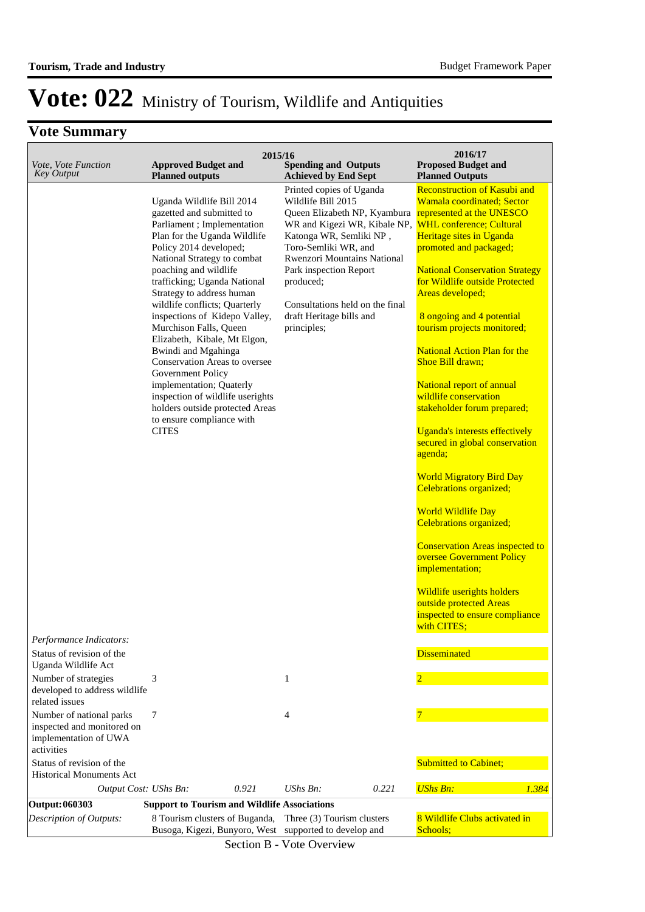### **Vote Summary**

| Vote, Vote Function<br><b>Key Output</b>                                                       | <b>Approved Budget and</b><br><b>Planned outputs</b>                                                                                                                                                                                                                                                                                                                                                                                                                                                                                                                                                                         | 2015/16<br><b>Spending and Outputs</b><br><b>Achieved by End Sept</b>                                                                                                                                                                                                                                                 | 2016/17<br><b>Proposed Budget and</b><br><b>Planned Outputs</b>                                                                                                                                                                                                                                                                                                                                                                                                                                                                                                                                                                                                                                                                                                                                                                                                                                                           |
|------------------------------------------------------------------------------------------------|------------------------------------------------------------------------------------------------------------------------------------------------------------------------------------------------------------------------------------------------------------------------------------------------------------------------------------------------------------------------------------------------------------------------------------------------------------------------------------------------------------------------------------------------------------------------------------------------------------------------------|-----------------------------------------------------------------------------------------------------------------------------------------------------------------------------------------------------------------------------------------------------------------------------------------------------------------------|---------------------------------------------------------------------------------------------------------------------------------------------------------------------------------------------------------------------------------------------------------------------------------------------------------------------------------------------------------------------------------------------------------------------------------------------------------------------------------------------------------------------------------------------------------------------------------------------------------------------------------------------------------------------------------------------------------------------------------------------------------------------------------------------------------------------------------------------------------------------------------------------------------------------------|
| Performance Indicators:                                                                        | Uganda Wildlife Bill 2014<br>gazetted and submitted to<br>Parliament; Implementation<br>Plan for the Uganda Wildlife<br>Policy 2014 developed;<br>National Strategy to combat<br>poaching and wildlife<br>trafficking; Uganda National<br>Strategy to address human<br>wildlife conflicts; Quarterly<br>inspections of Kidepo Valley,<br>Murchison Falls, Queen<br>Elizabeth, Kibale, Mt Elgon,<br>Bwindi and Mgahinga<br>Conservation Areas to oversee<br>Government Policy<br>implementation; Quaterly<br>inspection of wildlife userights<br>holders outside protected Areas<br>to ensure compliance with<br><b>CITES</b> | Printed copies of Uganda<br>Wildlife Bill 2015<br>Queen Elizabeth NP, Kyambura<br>WR and Kigezi WR, Kibale NP,<br>Katonga WR, Semliki NP,<br>Toro-Semliki WR, and<br>Rwenzori Mountains National<br>Park inspection Report<br>produced;<br>Consultations held on the final<br>draft Heritage bills and<br>principles; | <b>Reconstruction of Kasubi and</b><br>Wamala coordinated; Sector<br>represented at the UNESCO<br><b>WHL</b> conference: Cultural<br>Heritage sites in Uganda<br>promoted and packaged;<br><b>National Conservation Strategy</b><br>for Wildlife outside Protected<br>Areas developed;<br>8 ongoing and 4 potential<br>tourism projects monitored;<br><b>National Action Plan for the</b><br>Shoe Bill drawn;<br>National report of annual<br>wildlife conservation<br>stakeholder forum prepared;<br>Uganda's interests effectively<br>secured in global conservation<br>agenda;<br><b>World Migratory Bird Day</b><br><b>Celebrations organized;</b><br><b>World Wildlife Day</b><br><b>Celebrations organized;</b><br><b>Conservation Areas inspected to</b><br>oversee Government Policy<br>implementation;<br>Wildlife userights holders<br>outside protected Areas<br>inspected to ensure compliance<br>with CITES; |
| Status of revision of the                                                                      |                                                                                                                                                                                                                                                                                                                                                                                                                                                                                                                                                                                                                              |                                                                                                                                                                                                                                                                                                                       | <b>Disseminated</b>                                                                                                                                                                                                                                                                                                                                                                                                                                                                                                                                                                                                                                                                                                                                                                                                                                                                                                       |
| Uganda Wildlife Act<br>Number of strategies<br>developed to address wildlife<br>related issues | 3                                                                                                                                                                                                                                                                                                                                                                                                                                                                                                                                                                                                                            | $\mathbf{1}$                                                                                                                                                                                                                                                                                                          |                                                                                                                                                                                                                                                                                                                                                                                                                                                                                                                                                                                                                                                                                                                                                                                                                                                                                                                           |
| Number of national parks<br>inspected and monitored on<br>implementation of UWA<br>activities  | 7                                                                                                                                                                                                                                                                                                                                                                                                                                                                                                                                                                                                                            | 4                                                                                                                                                                                                                                                                                                                     |                                                                                                                                                                                                                                                                                                                                                                                                                                                                                                                                                                                                                                                                                                                                                                                                                                                                                                                           |
| Status of revision of the<br><b>Historical Monuments Act</b>                                   |                                                                                                                                                                                                                                                                                                                                                                                                                                                                                                                                                                                                                              |                                                                                                                                                                                                                                                                                                                       | <b>Submitted to Cabinet;</b>                                                                                                                                                                                                                                                                                                                                                                                                                                                                                                                                                                                                                                                                                                                                                                                                                                                                                              |
| Output Cost: UShs Bn:                                                                          | 0.921                                                                                                                                                                                                                                                                                                                                                                                                                                                                                                                                                                                                                        | $UShs Bn$ :<br>0.221                                                                                                                                                                                                                                                                                                  | <b>UShs Bn:</b><br>1.384                                                                                                                                                                                                                                                                                                                                                                                                                                                                                                                                                                                                                                                                                                                                                                                                                                                                                                  |
| Output: 060303                                                                                 | <b>Support to Tourism and Wildlife Associations</b>                                                                                                                                                                                                                                                                                                                                                                                                                                                                                                                                                                          |                                                                                                                                                                                                                                                                                                                       |                                                                                                                                                                                                                                                                                                                                                                                                                                                                                                                                                                                                                                                                                                                                                                                                                                                                                                                           |
| Description of Outputs:                                                                        | 8 Tourism clusters of Buganda,<br>Busoga, Kigezi, Bunyoro, West supported to develop and                                                                                                                                                                                                                                                                                                                                                                                                                                                                                                                                     | Three (3) Tourism clusters                                                                                                                                                                                                                                                                                            | 8 Wildlife Clubs activated in<br>Schools;                                                                                                                                                                                                                                                                                                                                                                                                                                                                                                                                                                                                                                                                                                                                                                                                                                                                                 |

Section B - Vote Overview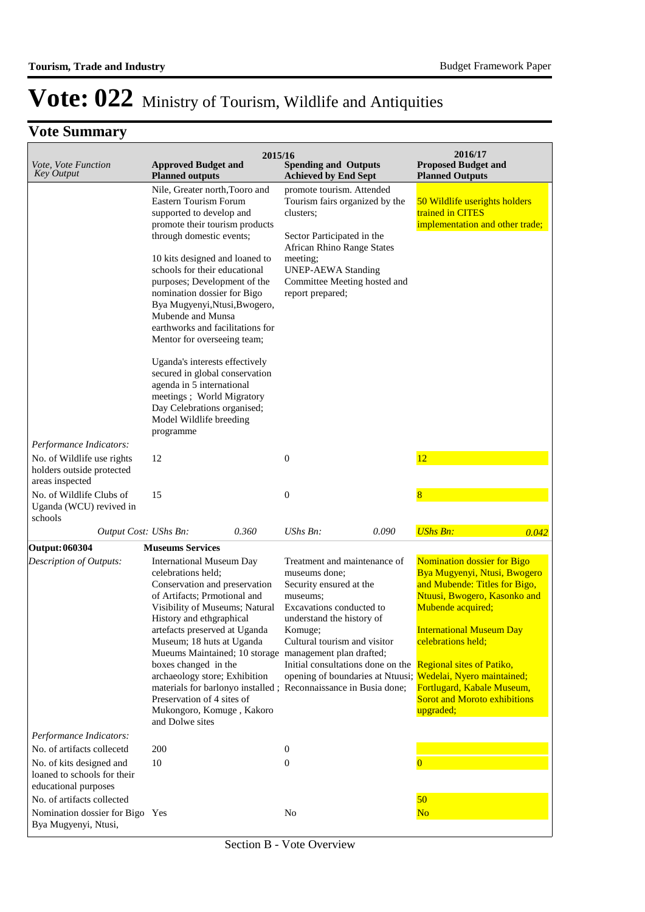|                                                                                                               | 2015/16                                                                                                                                                                                                                                                                                                                                                                                                                                                                                                                                                                                                           |                                                                                                                                                                                                                                                                                                                        | 2016/17                                                                                                                                                                                                                                                                                      |
|---------------------------------------------------------------------------------------------------------------|-------------------------------------------------------------------------------------------------------------------------------------------------------------------------------------------------------------------------------------------------------------------------------------------------------------------------------------------------------------------------------------------------------------------------------------------------------------------------------------------------------------------------------------------------------------------------------------------------------------------|------------------------------------------------------------------------------------------------------------------------------------------------------------------------------------------------------------------------------------------------------------------------------------------------------------------------|----------------------------------------------------------------------------------------------------------------------------------------------------------------------------------------------------------------------------------------------------------------------------------------------|
| Vote, Vote Function<br><b>Key Output</b>                                                                      | <b>Approved Budget and</b><br><b>Planned outputs</b>                                                                                                                                                                                                                                                                                                                                                                                                                                                                                                                                                              | <b>Spending and Outputs</b><br><b>Achieved by End Sept</b>                                                                                                                                                                                                                                                             | <b>Proposed Budget and</b><br><b>Planned Outputs</b>                                                                                                                                                                                                                                         |
| Performance Indicators:                                                                                       | Nile, Greater north, Tooro and<br>Eastern Tourism Forum<br>supported to develop and<br>promote their tourism products<br>through domestic events;<br>10 kits designed and loaned to<br>schools for their educational<br>purposes; Development of the<br>nomination dossier for Bigo<br>Bya Mugyenyi, Ntusi, Bwogero,<br>Mubende and Munsa<br>earthworks and facilitations for<br>Mentor for overseeing team;<br>Uganda's interests effectively<br>secured in global conservation<br>agenda in 5 international<br>meetings; World Migratory<br>Day Celebrations organised;<br>Model Wildlife breeding<br>programme | promote tourism. Attended<br>Tourism fairs organized by the<br>clusters;<br>Sector Participated in the<br><b>African Rhino Range States</b><br>meeting;<br><b>UNEP-AEWA Standing</b><br>Committee Meeting hosted and<br>report prepared;                                                                               | 50 Wildlife userights holders<br>trained in CITES<br>implementation and other trade;                                                                                                                                                                                                         |
| No. of Wildlife use rights<br>holders outside protected<br>areas inspected                                    | 12                                                                                                                                                                                                                                                                                                                                                                                                                                                                                                                                                                                                                | $\boldsymbol{0}$                                                                                                                                                                                                                                                                                                       | 12                                                                                                                                                                                                                                                                                           |
| No. of Wildlife Clubs of<br>Uganda (WCU) revived in<br>schools                                                | 15                                                                                                                                                                                                                                                                                                                                                                                                                                                                                                                                                                                                                | $\boldsymbol{0}$                                                                                                                                                                                                                                                                                                       | $\overline{8}$                                                                                                                                                                                                                                                                               |
| Output Cost: UShs Bn:                                                                                         | 0.360                                                                                                                                                                                                                                                                                                                                                                                                                                                                                                                                                                                                             | <b>UShs Bn:</b><br>0.090                                                                                                                                                                                                                                                                                               | <b>UShs Bn:</b><br>0.042                                                                                                                                                                                                                                                                     |
| <b>Output: 060304</b>                                                                                         | <b>Museums Services</b>                                                                                                                                                                                                                                                                                                                                                                                                                                                                                                                                                                                           |                                                                                                                                                                                                                                                                                                                        |                                                                                                                                                                                                                                                                                              |
| Description of Outputs:                                                                                       | <b>International Museum Day</b><br>celebrations held;<br>Conservation and preservation<br>of Artifacts; Prmotional and<br>Visibility of Museums; Natural<br>History and ethgraphical<br>artefacts preserved at Uganda<br>Museum; 18 huts at Uganda<br>Mueums Maintained; 10 storage management plan drafted;<br>boxes changed in the<br>archaeology store; Exhibition<br>materials for barlonyo installed; Reconnaissance in Busia done;<br>Preservation of 4 sites of<br>Mukongoro, Komuge, Kakoro<br>and Dolwe sites                                                                                            | Treatment and maintenance of<br>museums done;<br>Security ensured at the<br>museums;<br>Excavations conducted to<br>understand the history of<br>Komuge;<br>Cultural tourism and visitor<br>Initial consultations done on the Regional sites of Patiko,<br>opening of boundaries at Ntuusi; Wedelai, Nyero maintained; | <b>Nomination dossier for Bigo</b><br>Bya Mugyenyi, Ntusi, Bwogero<br>and Mubende: Titles for Bigo,<br>Ntuusi, Bwogero, Kasonko and<br>Mubende acquired;<br><b>International Museum Day</b><br>celebrations held;<br>Fortlugard, Kabale Museum,<br>Sorot and Moroto exhibitions<br>upgraded; |
| Performance Indicators:                                                                                       |                                                                                                                                                                                                                                                                                                                                                                                                                                                                                                                                                                                                                   |                                                                                                                                                                                                                                                                                                                        |                                                                                                                                                                                                                                                                                              |
| No. of artifacts collecetd<br>No. of kits designed and<br>loaned to schools for their<br>educational purposes | 200<br>10                                                                                                                                                                                                                                                                                                                                                                                                                                                                                                                                                                                                         | 0<br>$\boldsymbol{0}$                                                                                                                                                                                                                                                                                                  | $\overline{0}$                                                                                                                                                                                                                                                                               |
| No. of artifacts collected<br>Nomination dossier for Bigo Yes                                                 |                                                                                                                                                                                                                                                                                                                                                                                                                                                                                                                                                                                                                   | N <sub>o</sub>                                                                                                                                                                                                                                                                                                         | 50<br>N <sub>o</sub>                                                                                                                                                                                                                                                                         |
| Bya Mugyenyi, Ntusi,                                                                                          |                                                                                                                                                                                                                                                                                                                                                                                                                                                                                                                                                                                                                   |                                                                                                                                                                                                                                                                                                                        |                                                                                                                                                                                                                                                                                              |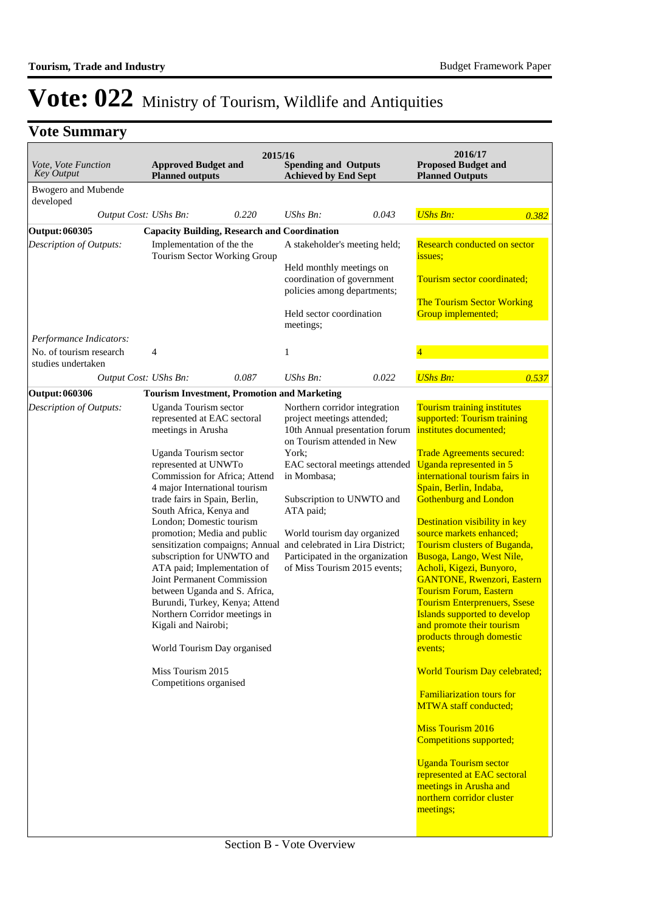| Vote, Vote Function<br><b>Key Output</b>         | <b>Approved Budget and</b><br><b>Planned outputs</b>                                                                                                                                                                                                                                                                                                                                                                                                                                                                                                                                                                               | 2015/16 | <b>Spending and Outputs</b><br><b>Achieved by End Sept</b>                                                                                                                                |                                                                                                                                          | 2016/17<br><b>Proposed Budget and</b><br><b>Planned Outputs</b>                                                                                                                                                                                                                                                                                                                                                                                                                                                                                                                                                                                                                                                                                                                                                                                                                                       |       |
|--------------------------------------------------|------------------------------------------------------------------------------------------------------------------------------------------------------------------------------------------------------------------------------------------------------------------------------------------------------------------------------------------------------------------------------------------------------------------------------------------------------------------------------------------------------------------------------------------------------------------------------------------------------------------------------------|---------|-------------------------------------------------------------------------------------------------------------------------------------------------------------------------------------------|------------------------------------------------------------------------------------------------------------------------------------------|-------------------------------------------------------------------------------------------------------------------------------------------------------------------------------------------------------------------------------------------------------------------------------------------------------------------------------------------------------------------------------------------------------------------------------------------------------------------------------------------------------------------------------------------------------------------------------------------------------------------------------------------------------------------------------------------------------------------------------------------------------------------------------------------------------------------------------------------------------------------------------------------------------|-------|
| <b>Bwogero</b> and Mubende<br>developed          |                                                                                                                                                                                                                                                                                                                                                                                                                                                                                                                                                                                                                                    |         |                                                                                                                                                                                           |                                                                                                                                          |                                                                                                                                                                                                                                                                                                                                                                                                                                                                                                                                                                                                                                                                                                                                                                                                                                                                                                       |       |
| Output Cost: UShs Bn:                            |                                                                                                                                                                                                                                                                                                                                                                                                                                                                                                                                                                                                                                    | 0.220   | <b>UShs Bn:</b>                                                                                                                                                                           | 0.043                                                                                                                                    | <b>UShs Bn:</b>                                                                                                                                                                                                                                                                                                                                                                                                                                                                                                                                                                                                                                                                                                                                                                                                                                                                                       | 0.382 |
| Output: 060305                                   | <b>Capacity Building, Research and Coordination</b>                                                                                                                                                                                                                                                                                                                                                                                                                                                                                                                                                                                |         |                                                                                                                                                                                           |                                                                                                                                          |                                                                                                                                                                                                                                                                                                                                                                                                                                                                                                                                                                                                                                                                                                                                                                                                                                                                                                       |       |
| Description of Outputs:                          | Implementation of the the<br>Tourism Sector Working Group                                                                                                                                                                                                                                                                                                                                                                                                                                                                                                                                                                          |         | A stakeholder's meeting held;<br>Held monthly meetings on<br>coordination of government<br>policies among departments;<br>Held sector coordination<br>meetings;                           |                                                                                                                                          | Research conducted on sector<br>issues;<br>Tourism sector coordinated;<br>The Tourism Sector Working<br>Group implemented;                                                                                                                                                                                                                                                                                                                                                                                                                                                                                                                                                                                                                                                                                                                                                                            |       |
| Performance Indicators:                          |                                                                                                                                                                                                                                                                                                                                                                                                                                                                                                                                                                                                                                    |         |                                                                                                                                                                                           |                                                                                                                                          |                                                                                                                                                                                                                                                                                                                                                                                                                                                                                                                                                                                                                                                                                                                                                                                                                                                                                                       |       |
| No. of tourism research<br>studies undertaken    | $\overline{4}$                                                                                                                                                                                                                                                                                                                                                                                                                                                                                                                                                                                                                     |         | 1                                                                                                                                                                                         |                                                                                                                                          | 4                                                                                                                                                                                                                                                                                                                                                                                                                                                                                                                                                                                                                                                                                                                                                                                                                                                                                                     |       |
| Output Cost: UShs Bn:                            |                                                                                                                                                                                                                                                                                                                                                                                                                                                                                                                                                                                                                                    | 0.087   | <b>UShs Bn:</b>                                                                                                                                                                           | 0.022                                                                                                                                    | <b>UShs Bn:</b>                                                                                                                                                                                                                                                                                                                                                                                                                                                                                                                                                                                                                                                                                                                                                                                                                                                                                       | 0.537 |
| <b>Output: 060306</b><br>Description of Outputs: | <b>Tourism Investment, Promotion and Marketing</b><br>Uganda Tourism sector                                                                                                                                                                                                                                                                                                                                                                                                                                                                                                                                                        |         | Northern corridor integration                                                                                                                                                             |                                                                                                                                          | Tourism training institutes                                                                                                                                                                                                                                                                                                                                                                                                                                                                                                                                                                                                                                                                                                                                                                                                                                                                           |       |
|                                                  | represented at EAC sectoral<br>meetings in Arusha<br>Uganda Tourism sector<br>represented at UNWTo<br>Commission for Africa; Attend<br>4 major International tourism<br>trade fairs in Spain, Berlin,<br>South Africa, Kenya and<br>London; Domestic tourism<br>promotion; Media and public<br>sensitization compaigns; Annual<br>subscription for UNWTO and<br>ATA paid; Implementation of<br>Joint Permanent Commission<br>between Uganda and S. Africa,<br>Burundi, Turkey, Kenya; Attend<br>Northern Corridor meetings in<br>Kigali and Nairobi;<br>World Tourism Day organised<br>Miss Tourism 2015<br>Competitions organised |         | project meetings attended;<br>on Tourism attended in New<br>York;<br>in Mombasa;<br>Subscription to UNWTO and<br>ATA paid;<br>World tourism day organized<br>of Miss Tourism 2015 events; | 10th Annual presentation forum<br>EAC sectoral meetings attended<br>and celebrated in Lira District;<br>Participated in the organization | supported: Tourism training<br>institutes documented;<br><b>Trade Agreements secured:</b><br>Uganda represented in 5<br>international tourism fairs in<br>Spain, Berlin, Indaba,<br><b>Gothenburg and London</b><br>Destination visibility in key<br>source markets enhanced;<br>Tourism clusters of Buganda,<br>Busoga, Lango, West Nile,<br>Acholi, Kigezi, Bunyoro,<br><b>GANTONE, Rwenzori, Eastern</b><br><b>Tourism Forum, Eastern</b><br><b>Tourism Enterprenuers, Ssese</b><br>Islands supported to develop<br>and promote their tourism<br>products through domestic<br>events:<br><b>World Tourism Day celebrated;</b><br><b>Familiarization tours for</b><br><b>MTWA</b> staff conducted;<br><b>Miss Tourism 2016</b><br><b>Competitions supported;</b><br><b>Uganda Tourism sector</b><br>represented at EAC sectoral<br>meetings in Arusha and<br>northern corridor cluster<br>meetings; |       |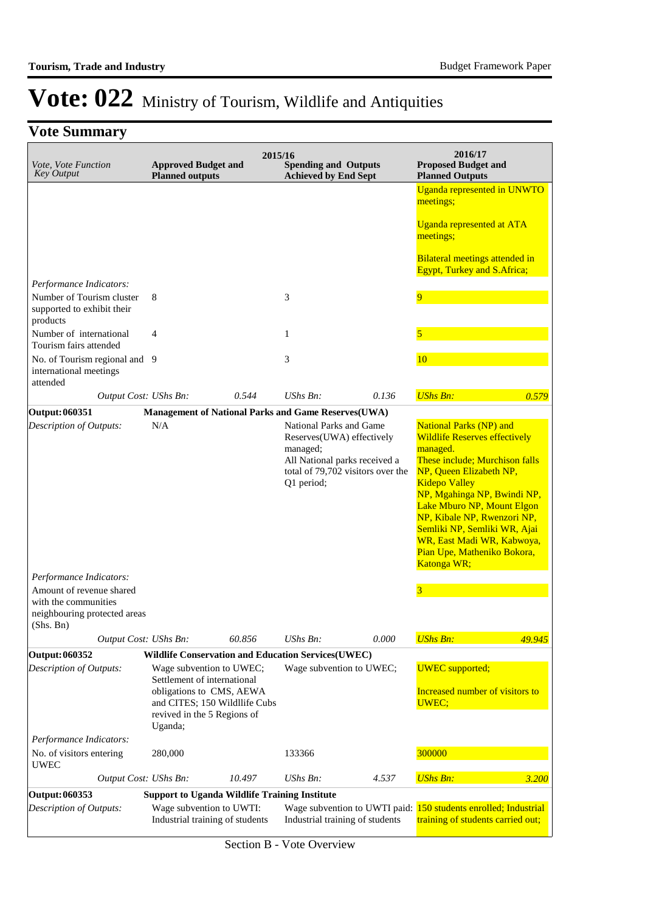| Vote, Vote Function<br><b>Key Output</b>                            | <b>Approved Budget and</b><br><b>Planned outputs</b>                                                                                                           | 2015/16 | <b>Spending and Outputs</b><br><b>Achieved by End Sept</b>                                                                                           |       | 2016/17<br><b>Proposed Budget and</b><br><b>Planned Outputs</b>                                                                                                                                                                                                                                                                                                                        |        |
|---------------------------------------------------------------------|----------------------------------------------------------------------------------------------------------------------------------------------------------------|---------|------------------------------------------------------------------------------------------------------------------------------------------------------|-------|----------------------------------------------------------------------------------------------------------------------------------------------------------------------------------------------------------------------------------------------------------------------------------------------------------------------------------------------------------------------------------------|--------|
|                                                                     |                                                                                                                                                                |         |                                                                                                                                                      |       | Uganda represented in UNWTO<br>meetings;                                                                                                                                                                                                                                                                                                                                               |        |
|                                                                     |                                                                                                                                                                |         |                                                                                                                                                      |       | <b>Uganda represented at ATA</b><br>meetings;                                                                                                                                                                                                                                                                                                                                          |        |
|                                                                     |                                                                                                                                                                |         |                                                                                                                                                      |       | Bilateral meetings attended in<br><b>Egypt, Turkey and S.Africa;</b>                                                                                                                                                                                                                                                                                                                   |        |
| Performance Indicators:                                             |                                                                                                                                                                |         |                                                                                                                                                      |       |                                                                                                                                                                                                                                                                                                                                                                                        |        |
| Number of Tourism cluster<br>supported to exhibit their<br>products | 8                                                                                                                                                              |         | 3                                                                                                                                                    |       | $\overline{9}$                                                                                                                                                                                                                                                                                                                                                                         |        |
| Number of international<br>Tourism fairs attended                   | 4                                                                                                                                                              |         | $\mathbf{1}$                                                                                                                                         |       | 5                                                                                                                                                                                                                                                                                                                                                                                      |        |
| No. of Tourism regional and 9<br>international meetings<br>attended |                                                                                                                                                                |         | 3                                                                                                                                                    |       | 10                                                                                                                                                                                                                                                                                                                                                                                     |        |
| Output Cost: UShs Bn:                                               |                                                                                                                                                                | 0.544   | $UShs Bn$ :                                                                                                                                          | 0.136 | <b>UShs Bn:</b>                                                                                                                                                                                                                                                                                                                                                                        | 0.579  |
| Output: 060351                                                      | Management of National Parks and Game Reserves(UWA)                                                                                                            |         |                                                                                                                                                      |       |                                                                                                                                                                                                                                                                                                                                                                                        |        |
| Description of Outputs:<br>Performance Indicators:                  | N/A                                                                                                                                                            |         | National Parks and Game<br>Reserves(UWA) effectively<br>managed;<br>All National parks received a<br>total of 79,702 visitors over the<br>Q1 period; |       | <b>National Parks (NP) and</b><br><b>Wildlife Reserves effectively</b><br>managed.<br>These include; Murchison falls<br>NP, Queen Elizabeth NP,<br><b>Kidepo Valley</b><br>NP, Mgahinga NP, Bwindi NP,<br>Lake Mburo NP, Mount Elgon<br>NP, Kibale NP, Rwenzori NP,<br>Semliki NP, Semliki WR, Ajai<br>WR, East Madi WR, Kabwoya,<br>Pian Upe, Matheniko Bokora,<br><b>Katonga WR;</b> |        |
| Amount of revenue shared                                            |                                                                                                                                                                |         |                                                                                                                                                      |       | 3                                                                                                                                                                                                                                                                                                                                                                                      |        |
| with the communities<br>neighbouring protected areas<br>(Shs. Bn)   |                                                                                                                                                                |         |                                                                                                                                                      |       |                                                                                                                                                                                                                                                                                                                                                                                        |        |
| Output Cost: UShs Bn:                                               |                                                                                                                                                                | 60.856  | <b>UShs Bn:</b>                                                                                                                                      | 0.000 | <b>UShs Bn:</b>                                                                                                                                                                                                                                                                                                                                                                        | 49.945 |
| <b>Output: 060352</b>                                               | <b>Wildlife Conservation and Education Services(UWEC)</b>                                                                                                      |         |                                                                                                                                                      |       |                                                                                                                                                                                                                                                                                                                                                                                        |        |
| Description of Outputs:                                             | Wage subvention to UWEC;<br>Settlement of international<br>obligations to CMS, AEWA<br>and CITES; 150 Wildllife Cubs<br>revived in the 5 Regions of<br>Uganda; |         | Wage subvention to UWEC;                                                                                                                             |       | <b>UWEC</b> supported;<br>Increased number of visitors to<br>UWEC;                                                                                                                                                                                                                                                                                                                     |        |
| Performance Indicators:                                             |                                                                                                                                                                |         |                                                                                                                                                      |       |                                                                                                                                                                                                                                                                                                                                                                                        |        |
| No. of visitors entering<br><b>UWEC</b>                             | 280,000                                                                                                                                                        |         | 133366                                                                                                                                               |       | 300000                                                                                                                                                                                                                                                                                                                                                                                 |        |
| Output Cost: UShs Bn:                                               |                                                                                                                                                                | 10.497  | UShs Bn:                                                                                                                                             | 4.537 | <b>UShs Bn:</b>                                                                                                                                                                                                                                                                                                                                                                        | 3.200  |
| Output: 060353                                                      | <b>Support to Uganda Wildlife Training Institute</b>                                                                                                           |         |                                                                                                                                                      |       |                                                                                                                                                                                                                                                                                                                                                                                        |        |
| Description of Outputs:                                             | Wage subvention to UWTI:<br>Industrial training of students                                                                                                    |         | Industrial training of students                                                                                                                      |       | Wage subvention to UWTI paid: 150 students enrolled; Industrial<br>training of students carried out;                                                                                                                                                                                                                                                                                   |        |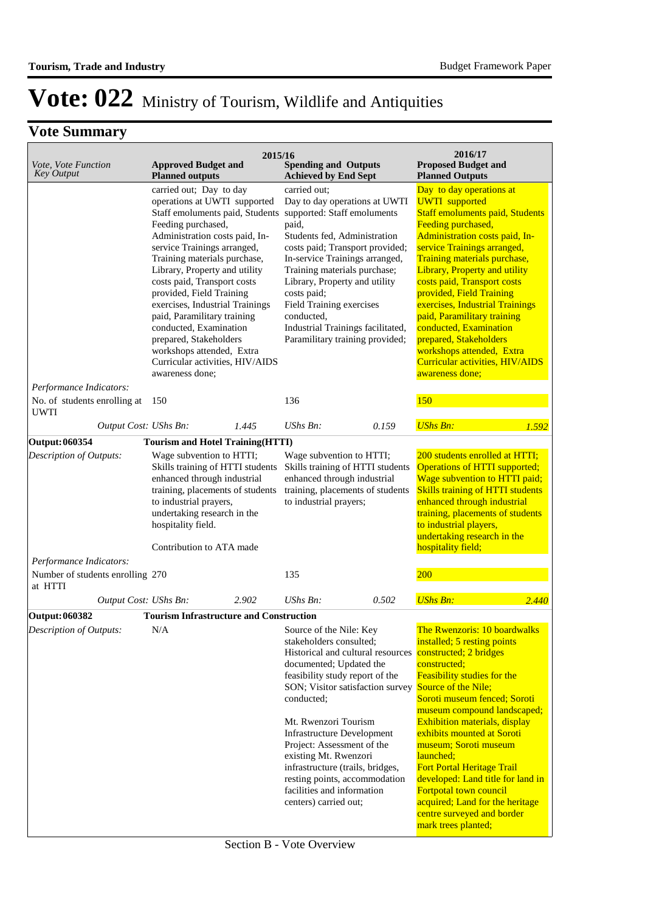| Vote, Vote Function<br><b>Key Output</b>                                                                                                                                                                                                  | 2015/16<br><b>Approved Budget and</b><br><b>Planned outputs</b>                                                                                         | <b>Spending and Outputs</b><br><b>Achieved by End Sept</b>                                                                                                | 2016/17<br><b>Proposed Budget and</b><br><b>Planned Outputs</b>                                                                                                                                                                                                                                      |
|-------------------------------------------------------------------------------------------------------------------------------------------------------------------------------------------------------------------------------------------|---------------------------------------------------------------------------------------------------------------------------------------------------------|-----------------------------------------------------------------------------------------------------------------------------------------------------------|------------------------------------------------------------------------------------------------------------------------------------------------------------------------------------------------------------------------------------------------------------------------------------------------------|
|                                                                                                                                                                                                                                           | carried out; Day to day<br>operations at UWTI supported                                                                                                 | carried out:<br>Day to day operations at UWTI                                                                                                             | Day to day operations at<br><b>UWTI</b> supported                                                                                                                                                                                                                                                    |
|                                                                                                                                                                                                                                           | Staff emoluments paid, Students supported: Staff emoluments<br>Feeding purchased,                                                                       | paid,                                                                                                                                                     | <b>Staff emoluments paid, Students</b><br>Feeding purchased,                                                                                                                                                                                                                                         |
|                                                                                                                                                                                                                                           | Administration costs paid, In-                                                                                                                          | Students fed, Administration                                                                                                                              | Administration costs paid, In-                                                                                                                                                                                                                                                                       |
|                                                                                                                                                                                                                                           | service Trainings arranged,<br>Training materials purchase,<br>Library, Property and utility<br>costs paid, Transport costs<br>provided, Field Training | costs paid; Transport provided;<br>In-service Trainings arranged,<br>Training materials purchase;<br>Library, Property and utility<br>costs paid;         | service Trainings arranged,<br>Training materials purchase,<br>Library, Property and utility<br>costs paid, Transport costs<br>provided, Field Training                                                                                                                                              |
|                                                                                                                                                                                                                                           | exercises, Industrial Trainings<br>paid, Paramilitary training<br>conducted, Examination                                                                | Field Training exercises<br>conducted,<br>Industrial Trainings facilitated,                                                                               | exercises, Industrial Trainings<br>paid, Paramilitary training<br>conducted, Examination                                                                                                                                                                                                             |
|                                                                                                                                                                                                                                           | prepared, Stakeholders<br>workshops attended, Extra                                                                                                     | Paramilitary training provided;                                                                                                                           | prepared, Stakeholders<br>workshops attended, Extra                                                                                                                                                                                                                                                  |
|                                                                                                                                                                                                                                           | Curricular activities, HIV/AIDS<br>awareness done;                                                                                                      |                                                                                                                                                           | Curricular activities, HIV/AIDS<br>awareness done;                                                                                                                                                                                                                                                   |
| Performance Indicators:                                                                                                                                                                                                                   |                                                                                                                                                         |                                                                                                                                                           |                                                                                                                                                                                                                                                                                                      |
| No. of students enrolling at<br><b>UWTI</b>                                                                                                                                                                                               | 150                                                                                                                                                     | 136                                                                                                                                                       | 150                                                                                                                                                                                                                                                                                                  |
| Output Cost: UShs Bn:                                                                                                                                                                                                                     | 1.445                                                                                                                                                   | $UShs Bn$ :<br>0.159                                                                                                                                      | <b>UShs Bn:</b><br>1.592                                                                                                                                                                                                                                                                             |
| Output: 060354                                                                                                                                                                                                                            | <b>Tourism and Hotel Training (HTTI)</b>                                                                                                                |                                                                                                                                                           |                                                                                                                                                                                                                                                                                                      |
| Description of Outputs:<br>Wage subvention to HTTI;<br>Skills training of HTTI students<br>enhanced through industrial<br>training, placements of students<br>to industrial prayers,<br>undertaking research in the<br>hospitality field. |                                                                                                                                                         | Wage subvention to HTTI;<br>Skills training of HTTI students<br>enhanced through industrial<br>training, placements of students<br>to industrial prayers; | 200 students enrolled at HTTI;<br><b>Operations of HTTI supported;</b><br>Wage subvention to HTTI paid;<br><b>Skills training of HTTI students</b><br>enhanced through industrial<br>training, placements of students<br>to industrial players,<br>undertaking research in the<br>hospitality field; |
| Performance Indicators:                                                                                                                                                                                                                   | Contribution to ATA made                                                                                                                                |                                                                                                                                                           |                                                                                                                                                                                                                                                                                                      |
| Number of students enrolling 270<br>at HTTI                                                                                                                                                                                               |                                                                                                                                                         | 135                                                                                                                                                       | 200                                                                                                                                                                                                                                                                                                  |
| Output Cost: UShs Bn:                                                                                                                                                                                                                     | 2.902                                                                                                                                                   | UShs Bn:<br>0.502                                                                                                                                         | <b>UShs Bn:</b><br>2.440                                                                                                                                                                                                                                                                             |
| <b>Output: 060382</b>                                                                                                                                                                                                                     | <b>Tourism Infrastructure and Construction</b>                                                                                                          |                                                                                                                                                           |                                                                                                                                                                                                                                                                                                      |
| Description of Outputs:                                                                                                                                                                                                                   | N/A                                                                                                                                                     | Source of the Nile: Key                                                                                                                                   | The Rwenzoris: 10 boardwalks                                                                                                                                                                                                                                                                         |
|                                                                                                                                                                                                                                           |                                                                                                                                                         | stakeholders consulted;<br>Historical and cultural resources                                                                                              | installed; 5 resting points<br>constructed; 2 bridges                                                                                                                                                                                                                                                |
|                                                                                                                                                                                                                                           |                                                                                                                                                         | documented; Updated the                                                                                                                                   | constructed;                                                                                                                                                                                                                                                                                         |
|                                                                                                                                                                                                                                           |                                                                                                                                                         | feasibility study report of the                                                                                                                           | Feasibility studies for the                                                                                                                                                                                                                                                                          |
|                                                                                                                                                                                                                                           |                                                                                                                                                         | SON; Visitor satisfaction survey                                                                                                                          | Source of the Nile;                                                                                                                                                                                                                                                                                  |
|                                                                                                                                                                                                                                           |                                                                                                                                                         | conducted;                                                                                                                                                | Soroti museum fenced; Soroti                                                                                                                                                                                                                                                                         |
|                                                                                                                                                                                                                                           |                                                                                                                                                         | Mt. Rwenzori Tourism                                                                                                                                      | museum compound landscaped;<br>Exhibition materials, display                                                                                                                                                                                                                                         |
|                                                                                                                                                                                                                                           |                                                                                                                                                         | <b>Infrastructure Development</b>                                                                                                                         | exhibits mounted at Soroti                                                                                                                                                                                                                                                                           |
|                                                                                                                                                                                                                                           |                                                                                                                                                         | Project: Assessment of the                                                                                                                                | museum; Soroti museum                                                                                                                                                                                                                                                                                |
|                                                                                                                                                                                                                                           |                                                                                                                                                         | existing Mt. Rwenzori                                                                                                                                     | launched;                                                                                                                                                                                                                                                                                            |
|                                                                                                                                                                                                                                           |                                                                                                                                                         | infrastructure (trails, bridges,<br>resting points, accommodation                                                                                         | <b>Fort Portal Heritage Trail</b><br>developed: Land title for land in                                                                                                                                                                                                                               |
|                                                                                                                                                                                                                                           |                                                                                                                                                         | facilities and information                                                                                                                                | Fortpotal town council                                                                                                                                                                                                                                                                               |
|                                                                                                                                                                                                                                           |                                                                                                                                                         | centers) carried out;                                                                                                                                     | acquired; Land for the heritage                                                                                                                                                                                                                                                                      |
|                                                                                                                                                                                                                                           |                                                                                                                                                         |                                                                                                                                                           | centre surveyed and border<br>mark trees planted;                                                                                                                                                                                                                                                    |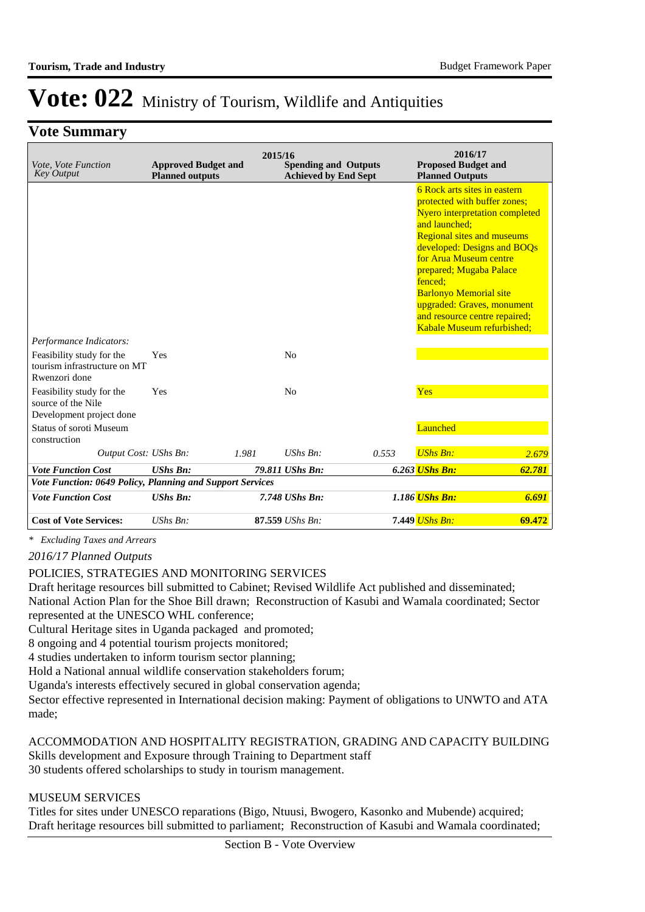### **Vote Summary**

| Vote, Vote Function<br><b>Key Output</b>                                    | <b>Approved Budget and</b><br><b>Planned outputs</b> | 2015/16 | <b>Spending and Outputs</b><br><b>Achieved by End Sept</b> |       | 2016/17<br><b>Proposed Budget and</b><br><b>Planned Outputs</b>                                                                                                                                                                                                                                                                                                                          |        |
|-----------------------------------------------------------------------------|------------------------------------------------------|---------|------------------------------------------------------------|-------|------------------------------------------------------------------------------------------------------------------------------------------------------------------------------------------------------------------------------------------------------------------------------------------------------------------------------------------------------------------------------------------|--------|
|                                                                             |                                                      |         |                                                            |       | 6 Rock arts sites in eastern<br>protected with buffer zones;<br><b>Nyero interpretation completed</b><br>and launched:<br><b>Regional sites and museums</b><br>developed: Designs and BOQs<br>for Arua Museum centre<br>prepared; Mugaba Palace<br>fenced:<br><b>Barlonyo Memorial site</b><br>upgraded: Graves, monument<br>and resource centre repaired;<br>Kabale Museum refurbished; |        |
| Performance Indicators:                                                     |                                                      |         |                                                            |       |                                                                                                                                                                                                                                                                                                                                                                                          |        |
| Feasibility study for the<br>tourism infrastructure on MT<br>Rwenzori done  | Yes                                                  |         | N <sub>0</sub>                                             |       |                                                                                                                                                                                                                                                                                                                                                                                          |        |
| Feasibility study for the<br>source of the Nile<br>Development project done | Yes                                                  |         | N <sub>0</sub>                                             |       | <b>Yes</b>                                                                                                                                                                                                                                                                                                                                                                               |        |
| <b>Status of soroti Museum</b><br>construction                              |                                                      |         |                                                            |       | Launched                                                                                                                                                                                                                                                                                                                                                                                 |        |
| Output Cost: UShs Bn:                                                       |                                                      | 1.981   | $UShs Bn$ :                                                | 0.553 | <b>UShs Bn:</b>                                                                                                                                                                                                                                                                                                                                                                          | 2.679  |
| <b>Vote Function Cost</b>                                                   | <b>UShs Bn:</b>                                      |         | 79.811 UShs Bn:                                            |       | 6.263 UShs Bn:                                                                                                                                                                                                                                                                                                                                                                           | 62.781 |
| Vote Function: 0649 Policy, Planning and Support Services                   |                                                      |         |                                                            |       |                                                                                                                                                                                                                                                                                                                                                                                          |        |
| <b>Vote Function Cost</b>                                                   | <b>UShs Bn:</b>                                      |         | 7.748 UShs Bn:                                             |       | 1.186 UShs Bn:                                                                                                                                                                                                                                                                                                                                                                           | 6.691  |
| <b>Cost of Vote Services:</b>                                               | UShs Bn:                                             |         | 87.559 UShs Bn:                                            |       | 7.449 UShs Bn:                                                                                                                                                                                                                                                                                                                                                                           | 69.472 |

*\* Excluding Taxes and Arrears*

*2016/17 Planned Outputs*

#### POLICIES, STRATEGIES AND MONITORING SERVICES

Draft heritage resources bill submitted to Cabinet; Revised Wildlife Act published and disseminated; National Action Plan for the Shoe Bill drawn; Reconstruction of Kasubi and Wamala coordinated; Sector represented at the UNESCO WHL conference;

Cultural Heritage sites in Uganda packaged and promoted;

8 ongoing and 4 potential tourism projects monitored;

4 studies undertaken to inform tourism sector planning;

Hold a National annual wildlife conservation stakeholders forum;

Uganda's interests effectively secured in global conservation agenda;

Sector effective represented in International decision making: Payment of obligations to UNWTO and ATA made;

#### ACCOMMODATION AND HOSPITALITY REGISTRATION, GRADING AND CAPACITY BUILDING Skills development and Exposure through Training to Department staff 30 students offered scholarships to study in tourism management.

#### MUSEUM SERVICES

Titles for sites under UNESCO reparations (Bigo, Ntuusi, Bwogero, Kasonko and Mubende) acquired; Draft heritage resources bill submitted to parliament; Reconstruction of Kasubi and Wamala coordinated;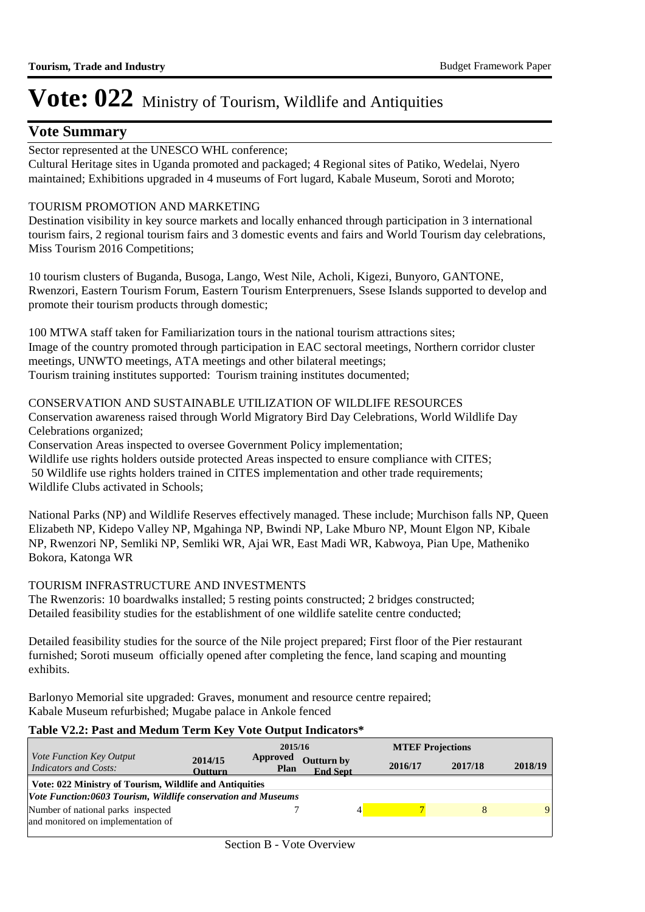### **Vote Summary**

Sector represented at the UNESCO WHL conference;

Cultural Heritage sites in Uganda promoted and packaged; 4 Regional sites of Patiko, Wedelai, Nyero maintained; Exhibitions upgraded in 4 museums of Fort lugard, Kabale Museum, Soroti and Moroto;

#### TOURISM PROMOTION AND MARKETING

Destination visibility in key source markets and locally enhanced through participation in 3 international tourism fairs, 2 regional tourism fairs and 3 domestic events and fairs and World Tourism day celebrations, Miss Tourism 2016 Competitions;

10 tourism clusters of Buganda, Busoga, Lango, West Nile, Acholi, Kigezi, Bunyoro, GANTONE, Rwenzori, Eastern Tourism Forum, Eastern Tourism Enterprenuers, Ssese Islands supported to develop and promote their tourism products through domestic;

100 MTWA staff taken for Familiarization tours in the national tourism attractions sites; Image of the country promoted through participation in EAC sectoral meetings, Northern corridor cluster meetings, UNWTO meetings, ATA meetings and other bilateral meetings; Tourism training institutes supported: Tourism training institutes documented;

#### CONSERVATION AND SUSTAINABLE UTILIZATION OF WILDLIFE RESOURCES

Conservation awareness raised through World Migratory Bird Day Celebrations, World Wildlife Day Celebrations organized;

Conservation Areas inspected to oversee Government Policy implementation;

Wildlife use rights holders outside protected Areas inspected to ensure compliance with CITES; 50 Wildlife use rights holders trained in CITES implementation and other trade requirements; Wildlife Clubs activated in Schools;

National Parks (NP) and Wildlife Reserves effectively managed. These include; Murchison falls NP, Queen Elizabeth NP, Kidepo Valley NP, Mgahinga NP, Bwindi NP, Lake Mburo NP, Mount Elgon NP, Kibale NP, Rwenzori NP, Semliki NP, Semliki WR, Ajai WR, East Madi WR, Kabwoya, Pian Upe, Matheniko Bokora, Katonga WR

#### TOURISM INFRASTRUCTURE AND INVESTMENTS

The Rwenzoris: 10 boardwalks installed; 5 resting points constructed; 2 bridges constructed; Detailed feasibility studies for the establishment of one wildlife satelite centre conducted;

Detailed feasibility studies for the source of the Nile project prepared; First floor of the Pier restaurant furnished; Soroti museum officially opened after completing the fence, land scaping and mounting exhibits.

Barlonyo Memorial site upgraded: Graves, monument and resource centre repaired; Kabale Museum refurbished; Mugabe palace in Ankole fenced

#### **Table V2.2: Past and Medum Term Key Vote Output Indicators\***

|                                                                                                                          |                           | 2015/16                 |                                      |  | <b>MTEF Projections</b> |         |         |  |
|--------------------------------------------------------------------------------------------------------------------------|---------------------------|-------------------------|--------------------------------------|--|-------------------------|---------|---------|--|
| <i>Vote Function Key Output</i><br>Indicators and Costs:                                                                 | 2014/15<br><b>Outturn</b> | Approved<br><b>Plan</b> | <b>Outturn by</b><br><b>End Sept</b> |  | 2016/17                 | 2017/18 | 2018/19 |  |
| Vote: 022 Ministry of Tourism, Wildlife and Antiquities<br>Vote Function:0603 Tourism, Wildlife conservation and Museums |                           |                         |                                      |  |                         |         |         |  |
| Number of national parks inspected<br>and monitored on implementation of                                                 |                           |                         |                                      |  |                         |         | 9       |  |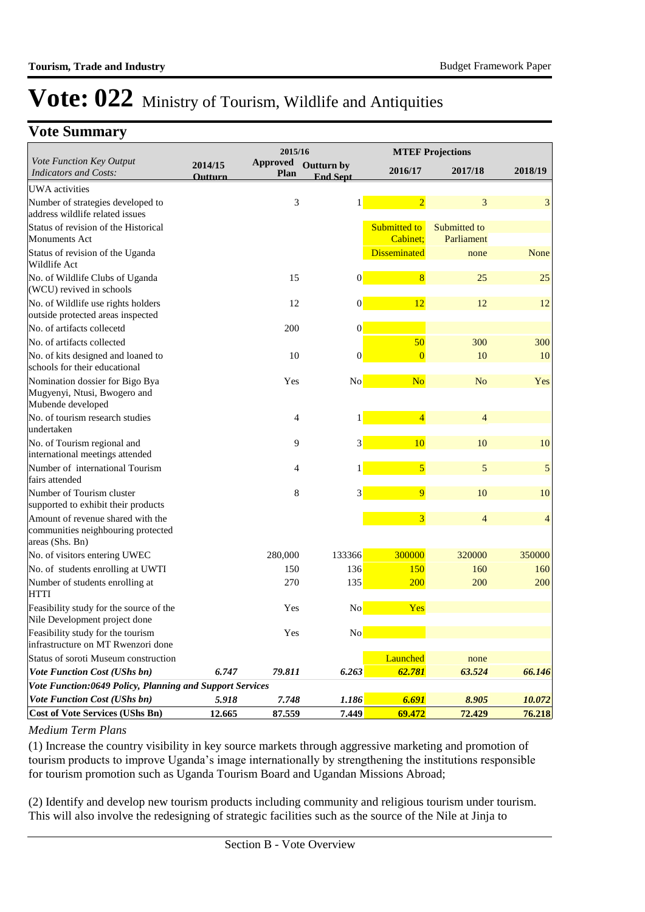### **Vote Summary**

| 2015/16                                                                                    |                           |                         |                               | <b>MTEF Projections</b>  |                            |                |  |
|--------------------------------------------------------------------------------------------|---------------------------|-------------------------|-------------------------------|--------------------------|----------------------------|----------------|--|
| Vote Function Key Output<br><b>Indicators and Costs:</b>                                   | 2014/15<br><b>Outturn</b> | <b>Approved</b><br>Plan | Outturn by<br><b>End Sept</b> | 2016/17                  | 2017/18                    | 2018/19        |  |
| <b>UWA</b> activities                                                                      |                           |                         |                               |                          |                            |                |  |
| Number of strategies developed to<br>address wildlife related issues                       |                           | 3                       |                               | $\overline{2}$           | 3                          | 3              |  |
| Status of revision of the Historical<br><b>Monuments Act</b>                               |                           |                         |                               | Submitted to<br>Cabinet: | Submitted to<br>Parliament |                |  |
| Status of revision of the Uganda<br>Wildlife Act                                           |                           |                         |                               | <b>Disseminated</b>      | none                       | None           |  |
| No. of Wildlife Clubs of Uganda<br>(WCU) revived in schools                                |                           | 15                      | $\overline{0}$                | 8                        | 25                         | 25             |  |
| No. of Wildlife use rights holders<br>outside protected areas inspected                    |                           | 12                      | $\boldsymbol{0}$              | 12                       | 12                         | 12             |  |
| No. of artifacts collecetd                                                                 |                           | 200                     | $\boldsymbol{0}$              |                          |                            |                |  |
| No. of artifacts collected                                                                 |                           |                         |                               | 50                       | 300                        | 300            |  |
| No. of kits designed and loaned to<br>schools for their educational                        |                           | 10                      | $\boldsymbol{0}$              | $\overline{0}$           | 10                         | 10             |  |
| Nomination dossier for Bigo Bya<br>Mugyenyi, Ntusi, Bwogero and<br>Mubende developed       |                           | Yes                     | No                            | N <sub>o</sub>           | N <sub>o</sub>             | Yes            |  |
| No. of tourism research studies<br>undertaken                                              |                           | 4                       | 1                             | $\overline{4}$           | $\overline{4}$             |                |  |
| No. of Tourism regional and<br>international meetings attended                             |                           | 9                       | 3                             | 10                       | 10                         | 10             |  |
| Number of international Tourism<br>fairs attended                                          |                           | 4                       |                               | $\overline{5}$           | 5                          | 5              |  |
| Number of Tourism cluster<br>supported to exhibit their products                           |                           | 8                       | 3                             | $\overline{9}$           | 10                         | 10             |  |
| Amount of revenue shared with the<br>communities neighbouring protected<br>areas (Shs. Bn) |                           |                         |                               | $\overline{\mathbf{3}}$  | $\overline{4}$             | $\overline{4}$ |  |
| No. of visitors entering UWEC                                                              |                           | 280,000                 | 133366                        | 300000                   | 320000                     | 350000         |  |
| No. of students enrolling at UWTI                                                          |                           | 150                     | 136                           | 150                      | 160                        | 160            |  |
| Number of students enrolling at<br><b>HTTI</b>                                             |                           | 270                     | 135                           | 200                      | 200                        | 200            |  |
| Feasibility study for the source of the<br>Nile Development project done                   |                           | Yes                     | N <sub>o</sub>                | Yes                      |                            |                |  |
| Feasibility study for the tourism<br>infrastructure on MT Rwenzori done                    |                           | Yes                     | No                            |                          |                            |                |  |
| Status of soroti Museum construction                                                       |                           |                         |                               | Launched                 | none                       |                |  |
| <b>Vote Function Cost (UShs bn)</b>                                                        | 6.747                     | 79.811                  | 6.263                         | 62.781                   | 63.524                     | 66.146         |  |
| Vote Function:0649 Policy, Planning and Support Services                                   |                           |                         |                               |                          |                            |                |  |
| Vote Function Cost (UShs bn)                                                               | 5.918                     | 7.748                   | 1.186                         | 6.691                    | 8.905                      | 10.072         |  |
| <b>Cost of Vote Services (UShs Bn)</b>                                                     | 12.665                    | 87.559                  | 7.449                         | 69.472                   | 72.429                     | 76.218         |  |

#### *Medium Term Plans*

(1) Increase the country visibility in key source markets through aggressive marketing and promotion of tourism products to improve Uganda's image internationally by strengthening the institutions responsible for tourism promotion such as Uganda Tourism Board and Ugandan Missions Abroad;

(2) Identify and develop new tourism products including community and religious tourism under tourism. This will also involve the redesigning of strategic facilities such as the source of the Nile at Jinja to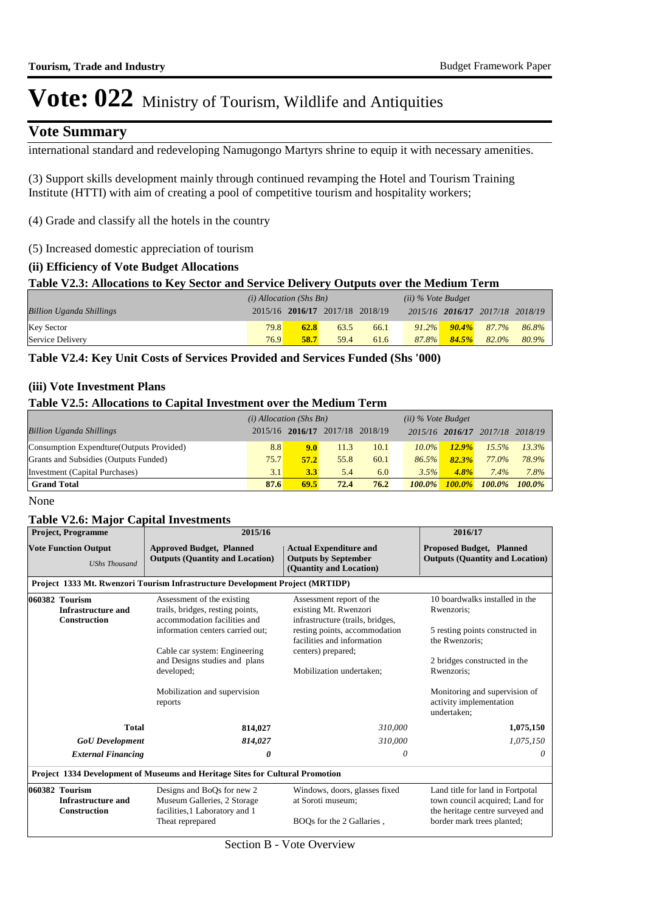### **Vote Summary**

international standard and redeveloping Namugongo Martyrs shrine to equip it with necessary amenities.

(3) Support skills development mainly through continued revamping the Hotel and Tourism Training Institute (HTTI) with aim of creating a pool of competitive tourism and hospitality workers;

(4) Grade and classify all the hotels in the country

(5) Increased domestic appreciation of tourism

#### **(ii) Efficiency of Vote Budget Allocations**

#### **Table V2.3: Allocations to Key Sector and Service Delivery Outputs over the Medium Term**

|                                 | $(i)$ Allocation (Shs Bn) |             |                                 |      | $(ii)$ % Vote Budget |       |                                 |       |
|---------------------------------|---------------------------|-------------|---------------------------------|------|----------------------|-------|---------------------------------|-------|
| <b>Billion Uganda Shillings</b> |                           |             | 2015/16 2016/17 2017/18 2018/19 |      |                      |       | 2015/16 2016/17 2017/18 2018/19 |       |
| <b>Key Sector</b>               | 79.8                      | <b>62.8</b> | 63.5                            | 66.1 |                      |       | $91.2\%$ $90.4\%$ $87.7\%$      | 86.8% |
| Service Delivery                | 76.9                      | 58.7        | 59.4                            | 61.6 | $87.8\%$             | 84.5% | 82.0%                           | 80.9% |

**Table V2.4: Key Unit Costs of Services Provided and Services Funded (Shs '000)**

#### **(iii) Vote Investment Plans**

#### **Table V2.5: Allocations to Capital Investment over the Medium Term**

|                                           | $(i)$ Allocation (Shs Bn) |                                 |      |      |           | $(ii)$ % Vote Budget |         |           |
|-------------------------------------------|---------------------------|---------------------------------|------|------|-----------|----------------------|---------|-----------|
| <b>Billion Uganda Shillings</b>           |                           | 2015/16 2016/17 2017/18 2018/19 |      |      |           | 2015/16 2016/17      | 2017/18 | 2018/19   |
| Consumption Expendture (Outputs Provided) | 8.8                       | 9.0                             | 11.3 | 10.1 | $10.0\%$  | 12.9%                | 15.5%   | 13.3%     |
| Grants and Subsidies (Outputs Funded)     | 75.7                      | 57.2                            | 55.8 | 60.1 | 86.5%     | 82.3%                | 77.0%   | 78.9%     |
| Investment (Capital Purchases)            | 3.1                       | 3.3                             | 5.4  | 6.0  | 3.5%      | $4.8\%$              | $7.4\%$ | 7.8%      |
| <b>Grand Total</b>                        | 87.6                      | 69.5                            | 72.4 | 76.2 | $100.0\%$ | $100.0\%$            | 100.0%  | $100.0\%$ |

None

#### **Table V2.6: Major Capital Investments**

| <b>Project, Programme</b>                                                    | 2015/16                                                                                                                                                                                            | 2016/17                                                                                                                |                                                                                                                                                                                             |  |  |
|------------------------------------------------------------------------------|----------------------------------------------------------------------------------------------------------------------------------------------------------------------------------------------------|------------------------------------------------------------------------------------------------------------------------|---------------------------------------------------------------------------------------------------------------------------------------------------------------------------------------------|--|--|
| <b>Vote Function Output</b><br><b>UShs Thousand</b>                          | <b>Approved Budget, Planned</b><br><b>Outputs (Quantity and Location)</b>                                                                                                                          | <b>Actual Expenditure and</b><br><b>Outputs by September</b><br>(Quantity and Location)                                |                                                                                                                                                                                             |  |  |
|                                                                              |                                                                                                                                                                                                    |                                                                                                                        |                                                                                                                                                                                             |  |  |
| 060382 Tourism<br><b>Infrastructure and</b><br><b>Construction</b>           | Assessment of the existing<br>trails, bridges, resting points,<br>accommodation facilities and<br>information centers carried out;                                                                 | Assessment report of the<br>existing Mt. Rwenzori<br>infrastructure (trails, bridges,<br>resting points, accommodation | 10 boardwalks installed in the<br>Rwenzoris;<br>5 resting points constructed in                                                                                                             |  |  |
| Cable car system: Engineering<br>and Designs studies and plans<br>developed; |                                                                                                                                                                                                    | facilities and information                                                                                             | the Rwenzoris:                                                                                                                                                                              |  |  |
|                                                                              |                                                                                                                                                                                                    | Mobilization undertaken:                                                                                               | 2 bridges constructed in the<br>Rwenzoris:                                                                                                                                                  |  |  |
|                                                                              | Mobilization and supervision<br>reports                                                                                                                                                            |                                                                                                                        | Monitoring and supervision of<br>activity implementation<br>undertaken:                                                                                                                     |  |  |
| <b>Total</b>                                                                 | 814,027                                                                                                                                                                                            | 310,000                                                                                                                | 1,075,150                                                                                                                                                                                   |  |  |
|                                                                              | 814,027                                                                                                                                                                                            | 310,000                                                                                                                | 1,075,150                                                                                                                                                                                   |  |  |
| <b>External Financing</b>                                                    | 0                                                                                                                                                                                                  | 0                                                                                                                      | 0                                                                                                                                                                                           |  |  |
|                                                                              |                                                                                                                                                                                                    |                                                                                                                        |                                                                                                                                                                                             |  |  |
| 060382 Tourism<br><b>Infrastructure and</b><br><b>Construction</b>           | Designs and BoQs for new 2<br>Windows, doors, glasses fixed<br>Museum Galleries, 2 Storage<br>at Soroti museum;<br>facilities, 1 Laboratory and 1<br>Theat reprepared<br>BOOs for the 2 Gallaries. |                                                                                                                        | Land title for land in Fortpotal<br>town council acquired; Land for<br>the heritage centre surveyed and<br>border mark trees planted;                                                       |  |  |
|                                                                              |                                                                                                                                                                                                    | <b>GoU</b> Development                                                                                                 | Project 1333 Mt. Rwenzori Tourism Infrastructure Development Project (MRTIDP)<br>centers) prepared;<br><b>Project 1334 Development of Museums and Heritage Sites for Cultural Promotion</b> |  |  |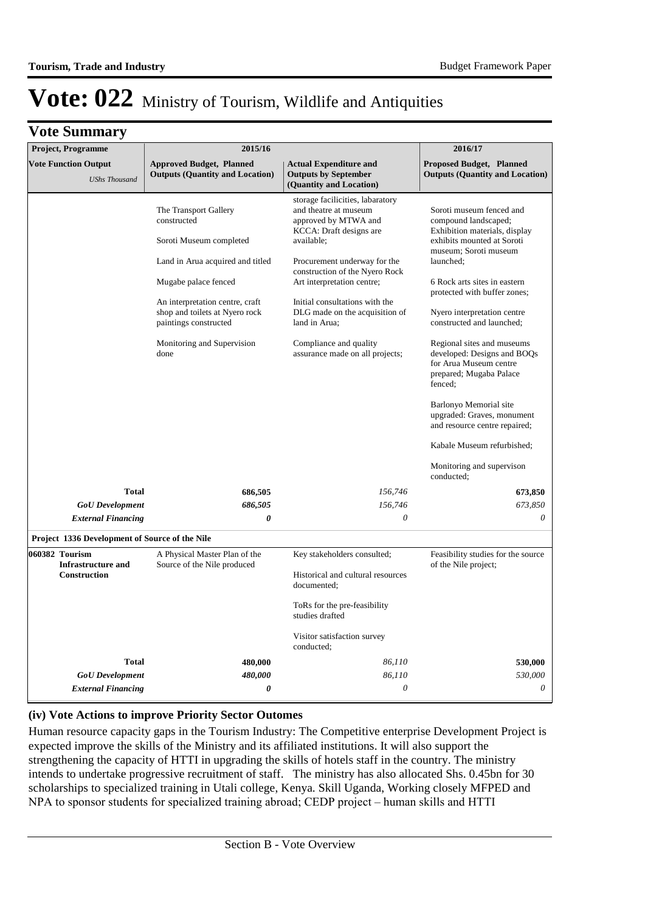# Vote: 022 Ministry of Tourism, Wildlife and Antiquities

| <b>Vote Summary</b>                                         |                                                                                                                                                                                                                                                                 |                                                                                                                                                                                                                                                                                                                                                                              |                                                                                                                                                                                                                                                                                                                                                                                                                                                                                                                                                                    |
|-------------------------------------------------------------|-----------------------------------------------------------------------------------------------------------------------------------------------------------------------------------------------------------------------------------------------------------------|------------------------------------------------------------------------------------------------------------------------------------------------------------------------------------------------------------------------------------------------------------------------------------------------------------------------------------------------------------------------------|--------------------------------------------------------------------------------------------------------------------------------------------------------------------------------------------------------------------------------------------------------------------------------------------------------------------------------------------------------------------------------------------------------------------------------------------------------------------------------------------------------------------------------------------------------------------|
| <b>Project, Programme</b>                                   | 2015/16                                                                                                                                                                                                                                                         |                                                                                                                                                                                                                                                                                                                                                                              | 2016/17                                                                                                                                                                                                                                                                                                                                                                                                                                                                                                                                                            |
| <b>Vote Function Output</b><br><b>UShs Thousand</b>         | <b>Approved Budget, Planned</b><br><b>Outputs (Quantity and Location)</b>                                                                                                                                                                                       | <b>Actual Expenditure and</b><br><b>Outputs by September</b><br>(Quantity and Location)                                                                                                                                                                                                                                                                                      | <b>Proposed Budget, Planned</b><br><b>Outputs (Quantity and Location)</b>                                                                                                                                                                                                                                                                                                                                                                                                                                                                                          |
|                                                             | The Transport Gallery<br>constructed<br>Soroti Museum completed<br>Land in Arua acquired and titled<br>Mugabe palace fenced<br>An interpretation centre, craft<br>shop and toilets at Nyero rock<br>paintings constructed<br>Monitoring and Supervision<br>done | storage facilicities, labaratory<br>and theatre at museum<br>approved by MTWA and<br>KCCA: Draft designs are<br>available;<br>Procurement underway for the<br>construction of the Nyero Rock<br>Art interpretation centre;<br>Initial consultations with the<br>DLG made on the acquisition of<br>land in Arua;<br>Compliance and quality<br>assurance made on all projects; | Soroti museum fenced and<br>compound landscaped;<br>Exhibition materials, display<br>exhibits mounted at Soroti<br>museum; Soroti museum<br>launched;<br>6 Rock arts sites in eastern<br>protected with buffer zones;<br>Nyero interpretation centre<br>constructed and launched;<br>Regional sites and museums<br>developed: Designs and BOQs<br>for Arua Museum centre<br>prepared; Mugaba Palace<br>fenced;<br>Barlonyo Memorial site<br>upgraded: Graves, monument<br>and resource centre repaired;<br>Kabale Museum refurbished;<br>Monitoring and supervison |
|                                                             |                                                                                                                                                                                                                                                                 |                                                                                                                                                                                                                                                                                                                                                                              | conducted;                                                                                                                                                                                                                                                                                                                                                                                                                                                                                                                                                         |
| <b>Total</b>                                                | 686,505                                                                                                                                                                                                                                                         | 156,746                                                                                                                                                                                                                                                                                                                                                                      | 673,850                                                                                                                                                                                                                                                                                                                                                                                                                                                                                                                                                            |
| <b>GoU</b> Development                                      | 686,505                                                                                                                                                                                                                                                         | 156,746                                                                                                                                                                                                                                                                                                                                                                      | 673,850                                                                                                                                                                                                                                                                                                                                                                                                                                                                                                                                                            |
| <b>External Financing</b>                                   | 0                                                                                                                                                                                                                                                               | $\theta$                                                                                                                                                                                                                                                                                                                                                                     | 0                                                                                                                                                                                                                                                                                                                                                                                                                                                                                                                                                                  |
| Project 1336 Development of Source of the Nile              |                                                                                                                                                                                                                                                                 |                                                                                                                                                                                                                                                                                                                                                                              |                                                                                                                                                                                                                                                                                                                                                                                                                                                                                                                                                                    |
| 060382 Tourism<br><b>Infrastructure and</b><br>Construction | A Physical Master Plan of the<br>Source of the Nile produced                                                                                                                                                                                                    | Key stakeholders consulted;<br>Historical and cultural resources<br>documented;                                                                                                                                                                                                                                                                                              | Feasibility studies for the source<br>of the Nile project;                                                                                                                                                                                                                                                                                                                                                                                                                                                                                                         |
|                                                             |                                                                                                                                                                                                                                                                 | ToRs for the pre-feasibility<br>studies drafted                                                                                                                                                                                                                                                                                                                              |                                                                                                                                                                                                                                                                                                                                                                                                                                                                                                                                                                    |
|                                                             |                                                                                                                                                                                                                                                                 | Visitor satisfaction survey<br>conducted;                                                                                                                                                                                                                                                                                                                                    |                                                                                                                                                                                                                                                                                                                                                                                                                                                                                                                                                                    |
| <b>Total</b>                                                | 480,000                                                                                                                                                                                                                                                         | 86,110                                                                                                                                                                                                                                                                                                                                                                       | 530,000                                                                                                                                                                                                                                                                                                                                                                                                                                                                                                                                                            |
| <b>GoU</b> Development                                      | 480,000                                                                                                                                                                                                                                                         | 86,110                                                                                                                                                                                                                                                                                                                                                                       | 530,000                                                                                                                                                                                                                                                                                                                                                                                                                                                                                                                                                            |
| <b>External Financing</b>                                   | 0                                                                                                                                                                                                                                                               | 0                                                                                                                                                                                                                                                                                                                                                                            | 0                                                                                                                                                                                                                                                                                                                                                                                                                                                                                                                                                                  |

#### **(iv) Vote Actions to improve Priority Sector Outomes**

Human resource capacity gaps in the Tourism Industry: The Competitive enterprise Development Project is expected improve the skills of the Ministry and its affiliated institutions. It will also support the strengthening the capacity of HTTI in upgrading the skills of hotels staff in the country. The ministry intends to undertake progressive recruitment of staff. The ministry has also allocated Shs. 0.45bn for 30 scholarships to specialized training in Utali college, Kenya. Skill Uganda, Working closely MFPED and NPA to sponsor students for specialized training abroad; CEDP project – human skills and HTTI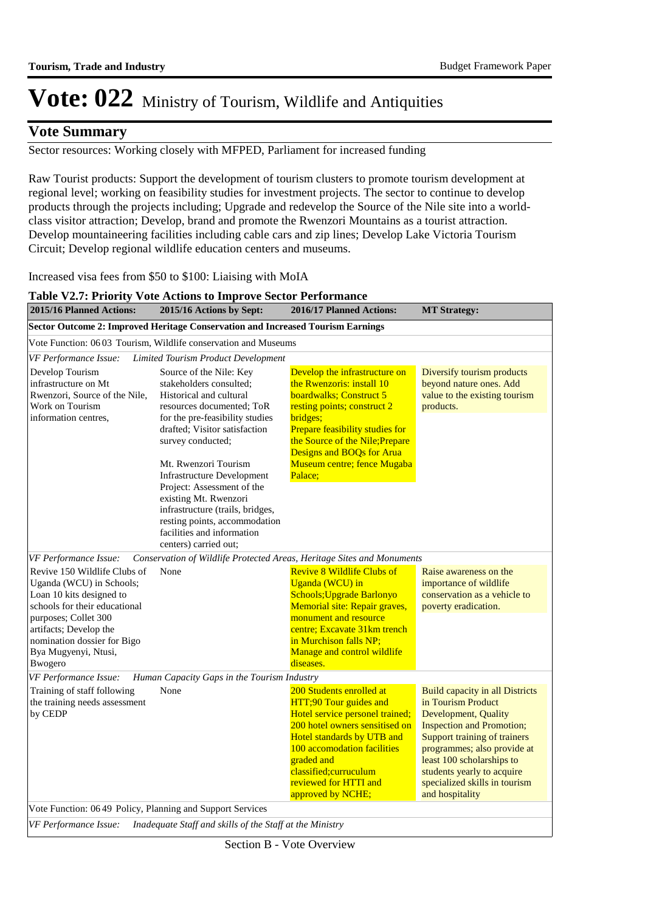### **Vote Summary**

Sector resources: Working closely with MFPED, Parliament for increased funding

Raw Tourist products: Support the development of tourism clusters to promote tourism development at regional level; working on feasibility studies for investment projects. The sector to continue to develop products through the projects including; Upgrade and redevelop the Source of the Nile site into a worldclass visitor attraction; Develop, brand and promote the Rwenzori Mountains as a tourist attraction. Develop mountaineering facilities including cable cars and zip lines; Develop Lake Victoria Tourism Circuit; Develop regional wildlife education centers and museums.

Increased visa fees from \$50 to \$100: Liaising with MoIA

| 2015/16 Planned Actions:                                                                                                                                                                                                                          | 2015/16 Actions by Sept:                                                                                                                                                                                                                                                                                                                                    | 2016/17 Planned Actions:                                                                                                                                                                                                                                                      | <b>MT Strategy:</b>                                                                                                                                                                                                                                                                                            |
|---------------------------------------------------------------------------------------------------------------------------------------------------------------------------------------------------------------------------------------------------|-------------------------------------------------------------------------------------------------------------------------------------------------------------------------------------------------------------------------------------------------------------------------------------------------------------------------------------------------------------|-------------------------------------------------------------------------------------------------------------------------------------------------------------------------------------------------------------------------------------------------------------------------------|----------------------------------------------------------------------------------------------------------------------------------------------------------------------------------------------------------------------------------------------------------------------------------------------------------------|
|                                                                                                                                                                                                                                                   | Sector Outcome 2: Improved Heritage Conservation and Increased Tourism Earnings                                                                                                                                                                                                                                                                             |                                                                                                                                                                                                                                                                               |                                                                                                                                                                                                                                                                                                                |
|                                                                                                                                                                                                                                                   | Vote Function: 06 03 Tourism, Wildlife conservation and Museums                                                                                                                                                                                                                                                                                             |                                                                                                                                                                                                                                                                               |                                                                                                                                                                                                                                                                                                                |
| VF Performance Issue:                                                                                                                                                                                                                             | <b>Limited Tourism Product Development</b>                                                                                                                                                                                                                                                                                                                  |                                                                                                                                                                                                                                                                               |                                                                                                                                                                                                                                                                                                                |
| Develop Tourism<br>infrastructure on Mt<br>Rwenzori, Source of the Nile,<br>Work on Tourism<br>information centres.                                                                                                                               | Source of the Nile: Key<br>stakeholders consulted;<br>Historical and cultural<br>resources documented; ToR<br>for the pre-feasibility studies<br>drafted; Visitor satisfaction<br>survey conducted;<br>Mt. Rwenzori Tourism<br><b>Infrastructure Development</b><br>Project: Assessment of the<br>existing Mt. Rwenzori<br>infrastructure (trails, bridges, | Develop the infrastructure on<br>the Rwenzoris: install 10<br>boardwalks: Construct 5<br>resting points; construct 2<br>bridges:<br>Prepare feasibility studies for<br>the Source of the Nile; Prepare<br>Designs and BOQs for Arua<br>Museum centre; fence Mugaba<br>Palace; | Diversify tourism products<br>beyond nature ones. Add<br>value to the existing tourism<br>products.                                                                                                                                                                                                            |
| VF Performance Issue:                                                                                                                                                                                                                             | resting points, accommodation<br>facilities and information<br>centers) carried out;                                                                                                                                                                                                                                                                        | Conservation of Wildlife Protected Areas, Heritage Sites and Monuments                                                                                                                                                                                                        |                                                                                                                                                                                                                                                                                                                |
| Revive 150 Wildlife Clubs of<br>Uganda (WCU) in Schools;<br>Loan 10 kits designed to<br>schools for their educational<br>purposes; Collet 300<br>artifacts; Develop the<br>nomination dossier for Bigo<br>Bya Mugyenyi, Ntusi,<br><b>B</b> wogero | None                                                                                                                                                                                                                                                                                                                                                        | <b>Revive 8 Wildlife Clubs of</b><br>Uganda (WCU) in<br>Schools; Upgrade Barlonyo<br>Memorial site: Repair graves,<br>monument and resource<br>centre; Excavate 31km trench<br>in Murchison falls NP;<br>Manage and control wildlife<br>diseases.                             | Raise awareness on the<br>importance of wildlife<br>conservation as a vehicle to<br>poverty eradication.                                                                                                                                                                                                       |
| VF Performance Issue:                                                                                                                                                                                                                             | Human Capacity Gaps in the Tourism Industry                                                                                                                                                                                                                                                                                                                 |                                                                                                                                                                                                                                                                               |                                                                                                                                                                                                                                                                                                                |
| Training of staff following<br>the training needs assessment<br>by CEDP                                                                                                                                                                           | None                                                                                                                                                                                                                                                                                                                                                        | 200 Students enrolled at<br>HTT;90 Tour guides and<br>Hotel service personel trained;<br>200 hotel owners sensitised on<br>Hotel standards by UTB and<br>100 accomodation facilities<br>graded and<br>classified; curruculum<br>reviewed for HTTI and<br>approved by NCHE;    | <b>Build capacity in all Districts</b><br>in Tourism Product<br><b>Development</b> , Quality<br><b>Inspection and Promotion;</b><br>Support training of trainers<br>programmes; also provide at<br>least 100 scholarships to<br>students yearly to acquire<br>specialized skills in tourism<br>and hospitality |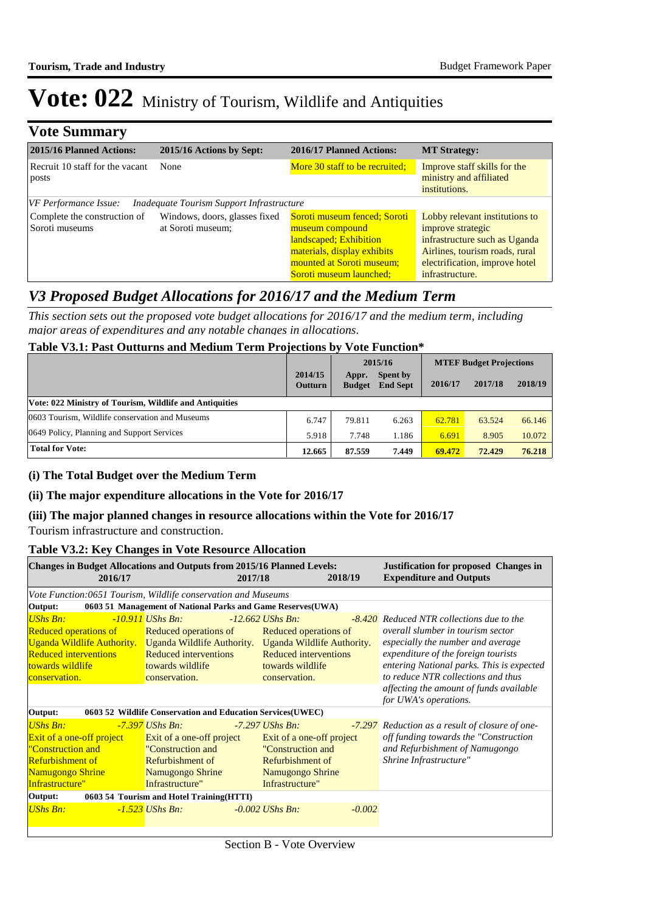| <b>Vote Summary</b>                            |                                                    |                                                                                                                                                                  |                                                                                                                                                                             |
|------------------------------------------------|----------------------------------------------------|------------------------------------------------------------------------------------------------------------------------------------------------------------------|-----------------------------------------------------------------------------------------------------------------------------------------------------------------------------|
| 2015/16 Planned Actions:                       | 2015/16 Actions by Sept:                           | 2016/17 Planned Actions:                                                                                                                                         | <b>MT Strategy:</b>                                                                                                                                                         |
| Recruit 10 staff for the vacant<br>posts       | None                                               | More 30 staff to be recruited;                                                                                                                                   | Improve staff skills for the<br>ministry and affiliated<br>institutions.                                                                                                    |
| VF Performance Issue:                          | Inadequate Tourism Support Infrastructure          |                                                                                                                                                                  |                                                                                                                                                                             |
| Complete the construction of<br>Soroti museums | Windows, doors, glasses fixed<br>at Soroti museum: | Soroti museum fenced; Soroti<br>museum compound<br>landscaped; Exhibition<br>materials, display exhibits<br>mounted at Soroti museum;<br>Soroti museum launched; | Lobby relevant institutions to<br>improve strategic<br>infrastructure such as Uganda<br>Airlines, tourism roads, rural<br>electrification, improve hotel<br>infrastructure. |

### *V3 Proposed Budget Allocations for 2016/17 and the Medium Term*

*This section sets out the proposed vote budget allocations for 2016/17 and the medium term, including major areas of expenditures and any notable changes in allocations.* 

#### **Table V3.1: Past Outturns and Medium Term Projections by Vote Function\***

|                                                         |                           | 2015/16                |                             | <b>MTEF Budget Projections</b> |         |         |
|---------------------------------------------------------|---------------------------|------------------------|-----------------------------|--------------------------------|---------|---------|
|                                                         | 2014/15<br><b>Outturn</b> | Appr.<br><b>Budget</b> | Spent by<br><b>End Sept</b> | 2016/17                        | 2017/18 | 2018/19 |
| Vote: 022 Ministry of Tourism, Wildlife and Antiquities |                           |                        |                             |                                |         |         |
| 0603 Tourism, Wildlife conservation and Museums         | 6.747                     | 79.811                 | 6.263                       | 62.781                         | 63.524  | 66.146  |
| 0649 Policy, Planning and Support Services              | 5.918                     | 7.748                  | 1.186                       | 6.691                          | 8.905   | 10.072  |
| <b>Total for Vote:</b>                                  | 12.665                    | 87.559                 | 7.449                       | 69.472                         | 72.429  | 76.218  |

#### **(i) The Total Budget over the Medium Term**

#### **(ii) The major expenditure allocations in the Vote for 2016/17**

#### **(iii) The major planned changes in resource allocations within the Vote for 2016/17**

Tourism infrastructure and construction.

#### **Table V3.2: Key Changes in Vote Resource Allocation**

| <b>Changes in Budget Allocations and Outputs from 2015/16 Planned Levels:</b><br>2016/17 |                                                             | 2017/18                    | 2018/19  | <b>Justification for proposed Changes in</b><br><b>Expenditure and Outputs</b> |  |  |  |
|------------------------------------------------------------------------------------------|-------------------------------------------------------------|----------------------------|----------|--------------------------------------------------------------------------------|--|--|--|
| Vote Function:0651 Tourism, Wildlife conservation and Museums                            |                                                             |                            |          |                                                                                |  |  |  |
| Output:                                                                                  | 0603 51 Management of National Parks and Game Reserves(UWA) |                            |          |                                                                                |  |  |  |
| <b>UShs Bn:</b>                                                                          | $-10.911$ UShs Bn:                                          | $-12.662$ UShs Bn.         |          | -8.420 Reduced NTR collections due to the                                      |  |  |  |
| <b>Reduced operations of</b>                                                             | Reduced operations of                                       | Reduced operations of      |          | overall slumber in tourism sector                                              |  |  |  |
| Uganda Wildlife Authority. Uganda Wildlife Authority.                                    |                                                             | Uganda Wildlife Authority. |          | especially the number and average                                              |  |  |  |
| <b>Reduced interventions</b>                                                             | <b>Reduced interventions</b>                                | Reduced interventions      |          | expenditure of the foreign tourists                                            |  |  |  |
| towards wildlife                                                                         | towards wildlife                                            | towards wildlife           |          | entering National parks. This is expected                                      |  |  |  |
| conservation.                                                                            | conservation.                                               | conservation.              |          | to reduce NTR collections and thus                                             |  |  |  |
|                                                                                          |                                                             |                            |          | affecting the amount of funds available<br>for UWA's operations.               |  |  |  |
| Output:                                                                                  | 0603 52 Wildlife Conservation and Education Services(UWEC)  |                            |          |                                                                                |  |  |  |
| <b>UShs Bn:</b>                                                                          | $-7.397$ UShs Bn:                                           | $-7.297$ UShs Bn:          |          | -7.297 Reduction as a result of closure of one-                                |  |  |  |
| Exit of a one-off project                                                                | Exit of a one-off project                                   | Exit of a one-off project  |          | off funding towards the "Construction                                          |  |  |  |
| "Construction and                                                                        | "Construction and                                           | "Construction and          |          | and Refurbishment of Namugongo                                                 |  |  |  |
| <b>Refurbishment of</b>                                                                  | <b>Refurbishment of</b>                                     | Refurbishment of           |          | Shrine Infrastructure"                                                         |  |  |  |
| Namugongo Shrine                                                                         | Namugongo Shrine                                            | Namugongo Shrine           |          |                                                                                |  |  |  |
| Infrastructure"                                                                          | Infrastructure"                                             | Infrastructure"            |          |                                                                                |  |  |  |
| Output:                                                                                  | 0603 54 Tourism and Hotel Training (HTTI)                   |                            |          |                                                                                |  |  |  |
| <b>UShs Bn:</b>                                                                          | $-1.523$ UShs Bn:                                           | $-0.002$ UShs Bn:          | $-0.002$ |                                                                                |  |  |  |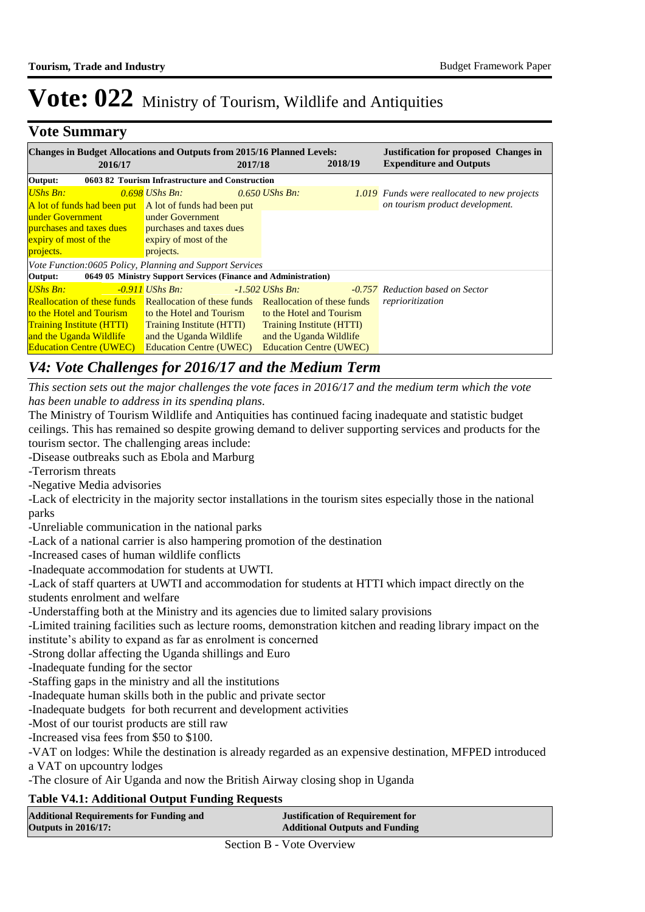### **Vote Summary**

| <b>Changes in Budget Allocations and Outputs from 2015/16 Planned Levels:</b><br>2016/17   |                                                                | 2017/18 |                                  | 2018/19 | <b>Justification for proposed Changes in</b><br><b>Expenditure and Outputs</b> |
|--------------------------------------------------------------------------------------------|----------------------------------------------------------------|---------|----------------------------------|---------|--------------------------------------------------------------------------------|
| Output:                                                                                    | 0603 82 Tourism Infrastructure and Construction                |         |                                  |         |                                                                                |
| <b>UShs Bn:</b>                                                                            | $0.698$ UShs Bn:                                               |         | $0.650$ UShs Bn.                 |         | 1.019 Funds were reallocated to new projects                                   |
| A lot of funds had been put A lot of funds had been put                                    |                                                                |         |                                  |         | on tourism product development.                                                |
| under Government                                                                           | under Government                                               |         |                                  |         |                                                                                |
| <b>purchases and taxes dues</b>                                                            | purchases and taxes dues                                       |         |                                  |         |                                                                                |
| expiry of most of the                                                                      | expiry of most of the                                          |         |                                  |         |                                                                                |
| projects.                                                                                  | projects.                                                      |         |                                  |         |                                                                                |
| Vote Function:0605 Policy, Planning and Support Services                                   |                                                                |         |                                  |         |                                                                                |
| Output:                                                                                    | 0649 05 Ministry Support Services (Finance and Administration) |         |                                  |         |                                                                                |
| <b>UShs Bn:</b>                                                                            | $-0.911$ UShs Bn:                                              |         | $-1.502$ UShs Bn.                |         | <b>-0.757</b> Reduction based on Sector                                        |
| <b>Reallocation of these funds</b> Reallocation of these funds Reallocation of these funds |                                                                |         |                                  |         | reprioritization                                                               |
| to the Hotel and Tourism                                                                   | to the Hotel and Tourism                                       |         | to the Hotel and Tourism         |         |                                                                                |
| <b>Training Institute (HTTI)</b>                                                           | <b>Training Institute (HTTI)</b>                               |         | <b>Training Institute (HTTI)</b> |         |                                                                                |
| and the Uganda Wildlife                                                                    | and the Uganda Wildlife                                        |         | and the Uganda Wildlife          |         |                                                                                |
| <b>Education Centre (UWEC)</b>                                                             | <b>Education Centre (UWEC)</b>                                 |         | <b>Education Centre (UWEC)</b>   |         |                                                                                |

### *V4: Vote Challenges for 2016/17 and the Medium Term*

*This section sets out the major challenges the vote faces in 2016/17 and the medium term which the vote has been unable to address in its spending plans.*

The Ministry of Tourism Wildlife and Antiquities has continued facing inadequate and statistic budget ceilings. This has remained so despite growing demand to deliver supporting services and products for the tourism sector. The challenging areas include:

-Disease outbreaks such as Ebola and Marburg

-Terrorism threats

-Negative Media advisories

-Lack of electricity in the majority sector installations in the tourism sites especially those in the national parks

-Unreliable communication in the national parks

-Lack of a national carrier is also hampering promotion of the destination

-Increased cases of human wildlife conflicts

-Inadequate accommodation for students at UWTI.

-Lack of staff quarters at UWTI and accommodation for students at HTTI which impact directly on the students enrolment and welfare

-Understaffing both at the Ministry and its agencies due to limited salary provisions

-Limited training facilities such as lecture rooms, demonstration kitchen and reading library impact on the institute's ability to expand as far as enrolment is concerned

-Strong dollar affecting the Uganda shillings and Euro

-Inadequate funding for the sector

-Staffing gaps in the ministry and all the institutions

-Inadequate human skills both in the public and private sector

-Inadequate budgets for both recurrent and development activities

-Most of our tourist products are still raw

-Increased visa fees from \$50 to \$100.

-VAT on lodges: While the destination is already regarded as an expensive destination, MFPED introduced a VAT on upcountry lodges

-The closure of Air Uganda and now the British Airway closing shop in Uganda

#### **Table V4.1: Additional Output Funding Requests**

| <b>Additional Requirements for Funding and</b> | <b>Justification of Requirement for</b> |
|------------------------------------------------|-----------------------------------------|
| <b>Outputs in 2016/17:</b>                     | <b>Additional Outputs and Funding</b>   |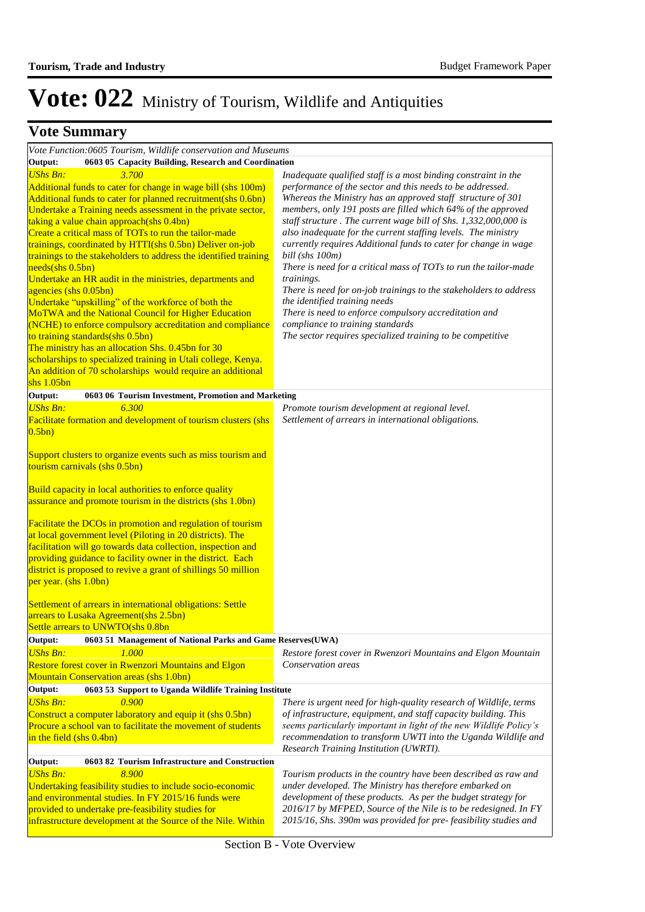#### **Additional Represents Funding Additional Requirements Funding Additional Representation Vote Summa**

| Vote Function:0605 Tourism, Wildlife conservation and Museums                                                           |                                                                                                                                      |  |  |  |
|-------------------------------------------------------------------------------------------------------------------------|--------------------------------------------------------------------------------------------------------------------------------------|--|--|--|
| Output:<br>0603 05 Capacity Building, Research and Coordination                                                         |                                                                                                                                      |  |  |  |
| <b>UShs Bn:</b><br>3.700                                                                                                | Inadequate qualified staff is a most binding constraint in the                                                                       |  |  |  |
| Additional funds to cater for change in wage bill (shs 100m)                                                            | performance of the sector and this needs to be addressed.                                                                            |  |  |  |
| Additional funds to cater for planned recruitment(shs 0.6bn)                                                            | Whereas the Ministry has an approved staff structure of 301                                                                          |  |  |  |
| Undertake a Training needs assessment in the private sector,                                                            | members, only 191 posts are filled which 64% of the approved                                                                         |  |  |  |
| taking a value chain approach(shs 0.4bn)                                                                                | staff structure . The current wage bill of Shs. 1,332,000,000 is                                                                     |  |  |  |
| Create a critical mass of TOTs to run the tailor-made                                                                   | also inadequate for the current staffing levels. The ministry                                                                        |  |  |  |
| trainings, coordinated by HTTI(shs 0.5bn) Deliver on-job                                                                | currently requires Additional funds to cater for change in wage                                                                      |  |  |  |
| trainings to the stakeholders to address the identified training                                                        | bill (shs 100m)                                                                                                                      |  |  |  |
| needs(shs 0.5bn)                                                                                                        | There is need for a critical mass of TOTs to run the tailor-made                                                                     |  |  |  |
| Undertake an HR audit in the ministries, departments and                                                                | trainings.                                                                                                                           |  |  |  |
| agencies (shs 0.05bn)                                                                                                   | There is need for on-job trainings to the stakeholders to address                                                                    |  |  |  |
| Undertake "upskilling" of the workforce of both the                                                                     | the identified training needs                                                                                                        |  |  |  |
| MoTWA and the National Council for Higher Education                                                                     | There is need to enforce compulsory accreditation and                                                                                |  |  |  |
| (NCHE) to enforce compulsory accreditation and compliance                                                               | compliance to training standards                                                                                                     |  |  |  |
| to training standards(shs 0.5bn)                                                                                        | The sector requires specialized training to be competitive                                                                           |  |  |  |
| The ministry has an allocation Shs. 0.45bn for 30                                                                       |                                                                                                                                      |  |  |  |
| scholarships to specialized training in Utali college, Kenya.                                                           |                                                                                                                                      |  |  |  |
| An addition of 70 scholarships would require an additional                                                              |                                                                                                                                      |  |  |  |
| $shs$ 1.05 $bn$                                                                                                         |                                                                                                                                      |  |  |  |
| Output:<br>0603 06 Tourism Investment, Promotion and Marketing                                                          |                                                                                                                                      |  |  |  |
| <b>UShs Bn:</b><br>6.300                                                                                                | Promote tourism development at regional level.                                                                                       |  |  |  |
| Facilitate formation and development of tourism clusters (shs                                                           | Settlement of arrears in international obligations.                                                                                  |  |  |  |
| 0.5bn)                                                                                                                  |                                                                                                                                      |  |  |  |
|                                                                                                                         |                                                                                                                                      |  |  |  |
| Support clusters to organize events such as miss tourism and                                                            |                                                                                                                                      |  |  |  |
| tourism carnivals (shs 0.5bn)                                                                                           |                                                                                                                                      |  |  |  |
|                                                                                                                         |                                                                                                                                      |  |  |  |
| Build capacity in local authorities to enforce quality<br>assurance and promote tourism in the districts (shs 1.0bn)    |                                                                                                                                      |  |  |  |
|                                                                                                                         |                                                                                                                                      |  |  |  |
| Facilitate the DCOs in promotion and regulation of tourism                                                              |                                                                                                                                      |  |  |  |
| at local government level (Piloting in 20 districts). The                                                               |                                                                                                                                      |  |  |  |
| facilitation will go towards data collection, inspection and                                                            |                                                                                                                                      |  |  |  |
| providing guidance to facility owner in the district. Each                                                              |                                                                                                                                      |  |  |  |
| district is proposed to revive a grant of shillings 50 million                                                          |                                                                                                                                      |  |  |  |
| per year. (shs 1.0bn)                                                                                                   |                                                                                                                                      |  |  |  |
|                                                                                                                         |                                                                                                                                      |  |  |  |
| <b>Settlement of arrears in international obligations: Settle</b>                                                       |                                                                                                                                      |  |  |  |
| arrears to Lusaka Agreement(shs 2.5bn)                                                                                  |                                                                                                                                      |  |  |  |
| Settle arrears to UNWTO(shs 0.8bn                                                                                       |                                                                                                                                      |  |  |  |
| Output:<br>0603 51 Management of National Parks and Game Reserves(UWA)                                                  |                                                                                                                                      |  |  |  |
|                                                                                                                         |                                                                                                                                      |  |  |  |
| 1.000                                                                                                                   |                                                                                                                                      |  |  |  |
| <b>UShs Bn:</b>                                                                                                         | Restore forest cover in Rwenzori Mountains and Elgon Mountain<br>Conservation areas                                                  |  |  |  |
| Restore forest cover in Rwenzori Mountains and Elgon                                                                    |                                                                                                                                      |  |  |  |
| <b>Mountain Conservation areas (shs 1.0bn)</b><br>Output:<br>0603 53 Support to Uganda Wildlife Training Institute      |                                                                                                                                      |  |  |  |
| <b>UShs Bn:</b><br>0.900                                                                                                |                                                                                                                                      |  |  |  |
|                                                                                                                         | There is urgent need for high-quality research of Wildlife, terms<br>of infrastructure, equipment, and staff capacity building. This |  |  |  |
| Construct a computer laboratory and equip it (shs 0.5bn)<br>Procure a school van to facilitate the movement of students |                                                                                                                                      |  |  |  |
| in the field $(shs 0.4bn)$                                                                                              | seems particularly important in light of the new Wildlife Policy's<br>recommendation to transform UWTI into the Uganda Wildlife and  |  |  |  |
|                                                                                                                         | Research Training Institution (UWRTI).                                                                                               |  |  |  |
| Output:<br>0603 82 Tourism Infrastructure and Construction                                                              |                                                                                                                                      |  |  |  |
| <b>UShs Bn:</b><br>8.900                                                                                                | Tourism products in the country have been described as raw and                                                                       |  |  |  |
| Undertaking feasibility studies to include socio-economic                                                               | under developed. The Ministry has therefore embarked on                                                                              |  |  |  |
| and environmental studies. In FY 2015/16 funds were                                                                     | development of these products. As per the budget strategy for                                                                        |  |  |  |
| provided to undertake pre-feasibility studies for                                                                       | 2016/17 by MFPED, Source of the Nile is to be redesigned. In FY                                                                      |  |  |  |
| infrastructure development at the Source of the Nile. Within                                                            | 2015/16, Shs. 390m was provided for pre-feasibility studies and                                                                      |  |  |  |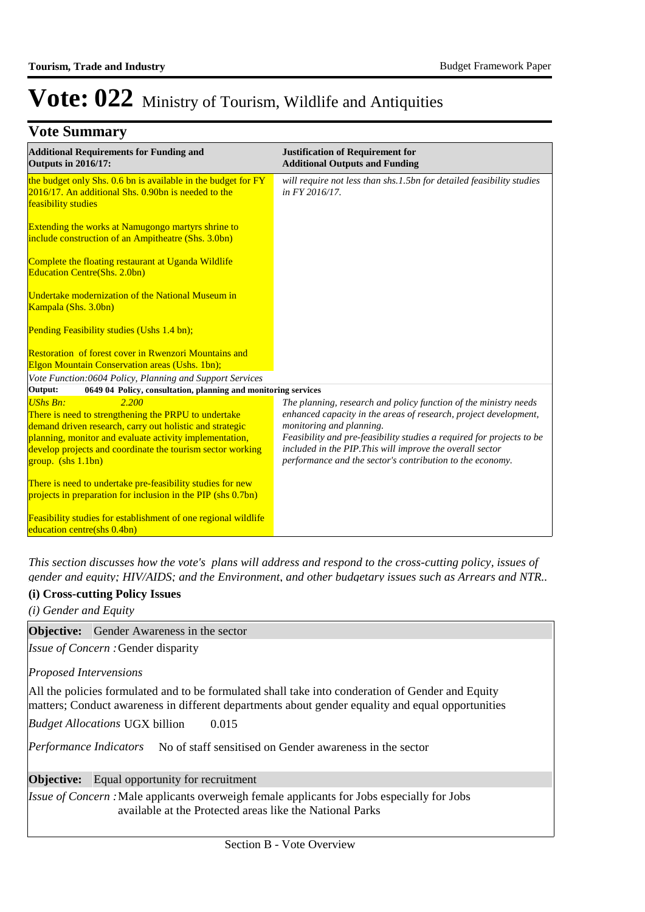### **Vote Summary**

| <b>Additional Requirements for Funding and</b><br><b>Outputs in 2016/17:</b>                                                                                                                                                                                                                     | <b>Justification of Requirement for</b><br><b>Additional Outputs and Funding</b>                                                                                                                                                                                                                                                                                    |
|--------------------------------------------------------------------------------------------------------------------------------------------------------------------------------------------------------------------------------------------------------------------------------------------------|---------------------------------------------------------------------------------------------------------------------------------------------------------------------------------------------------------------------------------------------------------------------------------------------------------------------------------------------------------------------|
| the budget only Shs. 0.6 bn is available in the budget for FY<br>2016/17. An additional Shs. 0.90bn is needed to the<br>feasibility studies                                                                                                                                                      | will require not less than shs.1.5bn for detailed feasibility studies<br>in FY 2016/17.                                                                                                                                                                                                                                                                             |
| Extending the works at Namugongo martyrs shrine to<br>include construction of an Ampitheatre (Shs. 3.0bn)                                                                                                                                                                                        |                                                                                                                                                                                                                                                                                                                                                                     |
| Complete the floating restaurant at Uganda Wildlife<br><b>Education Centre(Shs. 2.0bn)</b>                                                                                                                                                                                                       |                                                                                                                                                                                                                                                                                                                                                                     |
| Undertake modernization of the National Museum in<br>Kampala (Shs. 3.0bn)                                                                                                                                                                                                                        |                                                                                                                                                                                                                                                                                                                                                                     |
| Pending Feasibility studies (Ushs 1.4 bn);                                                                                                                                                                                                                                                       |                                                                                                                                                                                                                                                                                                                                                                     |
| <b>Restoration</b> of forest cover in Rwenzori Mountains and<br><b>Elgon Mountain Conservation areas (Ushs. 1bn);</b>                                                                                                                                                                            |                                                                                                                                                                                                                                                                                                                                                                     |
| Vote Function:0604 Policy, Planning and Support Services                                                                                                                                                                                                                                         |                                                                                                                                                                                                                                                                                                                                                                     |
| 0649 04 Policy, consultation, planning and monitoring services<br>Output:                                                                                                                                                                                                                        |                                                                                                                                                                                                                                                                                                                                                                     |
| 2.200<br><b>UShs Bn:</b><br>There is need to strengthening the PRPU to undertake<br>demand driven research, carry out holistic and strategic<br>planning, monitor and evaluate activity implementation,<br>develop projects and coordinate the tourism sector working<br>$group.$ (shs $1.1bn$ ) | The planning, research and policy function of the ministry needs<br>enhanced capacity in the areas of research, project development,<br>monitoring and planning.<br>Feasibility and pre-feasibility studies a required for projects to be<br>included in the PIP. This will improve the overall sector<br>performance and the sector's contribution to the economy. |
| There is need to undertake pre-feasibility studies for new<br>projects in preparation for inclusion in the PIP (shs 0.7bn)                                                                                                                                                                       |                                                                                                                                                                                                                                                                                                                                                                     |
| <b>Feasibility studies for establishment of one regional wildlife</b><br>education centre(shs 0.4bn)                                                                                                                                                                                             |                                                                                                                                                                                                                                                                                                                                                                     |

*This section discusses how the vote's plans will address and respond to the cross-cutting policy, issues of gender and equity; HIV/AIDS; and the Environment, and other budgetary issues such as Arrears and NTR..* 

#### **(i) Cross-cutting Policy Issues**

| (i) Cross-cutting Policy Issues<br>(i) Gender and Equity                                                                                                                                               |
|--------------------------------------------------------------------------------------------------------------------------------------------------------------------------------------------------------|
| <b>Objective:</b> Gender Awareness in the sector                                                                                                                                                       |
| Issue of Concern: Gender disparity                                                                                                                                                                     |
| Proposed Intervensions                                                                                                                                                                                 |
| All the policies formulated and to be formulated shall take into conderation of Gender and Equity<br>matters; Conduct awareness in different departments about gender equality and equal opportunities |
| <b>Budget Allocations UGX billion</b><br>0.015                                                                                                                                                         |
| <i>Performance Indicators</i> No of staff sensitised on Gender awareness in the sector                                                                                                                 |
| <b>Objective:</b> Equal opportunity for recruitment                                                                                                                                                    |
| <i>Issue of Concern</i> : Male applicants overweigh female applicants for Jobs especially for Jobs<br>available at the Protected areas like the National Parks                                         |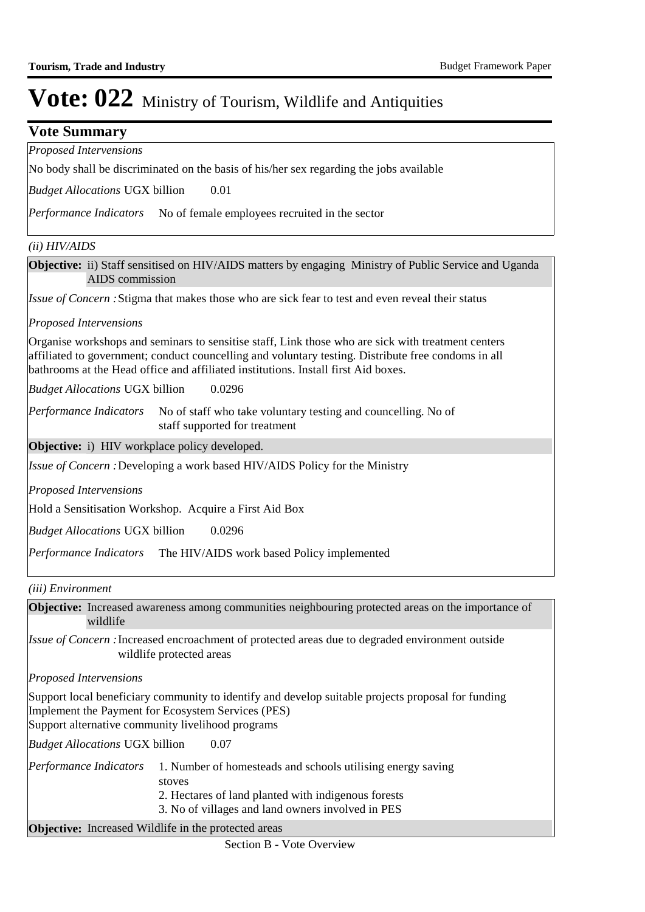### **Vote Summary** *Proposed Intervensions*

No body shall be discriminated on the basis of his/her sex regarding the jobs available

0.01 *Budget Allocations*  UGX billion

Performance Indicators No of female employees recruited in the sector

#### *(ii) HIV/AIDS*

**Objective:** ii) Staff sensitised on HIV/AIDS matters by engaging Ministry of Public Service and Uganda AIDS commission

Issue of Concern : Stigma that makes those who are sick fear to test and even reveal their status

#### *Proposed Intervensions*

Organise workshops and seminars to sensitise staff, Link those who are sick with treatment centers affiliated to government; conduct councelling and voluntary testing. Distribute free condoms in all bathrooms at the Head office and affiliated institutions. Install first Aid boxes.

0.0296 *Budget Allocations*  UGX billion

No of staff who take voluntary testing and councelling. No of staff supported for treatment *Performance Indicators*

**Objective:** i) HIV workplace policy developed.

Issue of Concern : Developing a work based HIV/AIDS Policy for the Ministry

*Proposed Intervensions* 

Hold a Sensitisation Workshop. Acquire a First Aid Box

0.0296 *Budget Allocations*  UGX billion

Performance Indicators The HIV/AIDS work based Policy implemented

*(iii) Environment*

**Objective:** Increased awareness among communities neighbouring protected areas on the importance of wildlife

Issue of Concern : Increased encroachment of protected areas due to degraded environment outside wildlife protected areas

*Proposed Intervensions* 

Support local beneficiary community to identify and develop suitable projects proposal for funding Implement the Payment for Ecosystem Services (PES) Support alternative community livelihood programs

0.07 *Budget Allocations*  UGX billion

1. Number of homesteads and schools utilising energy saving stoves 2. Hectares of land planted with indigenous forests *Performance Indicators*

3. No of villages and land owners involved in PES

**Objective:** Increased Wildlife in the protected areas